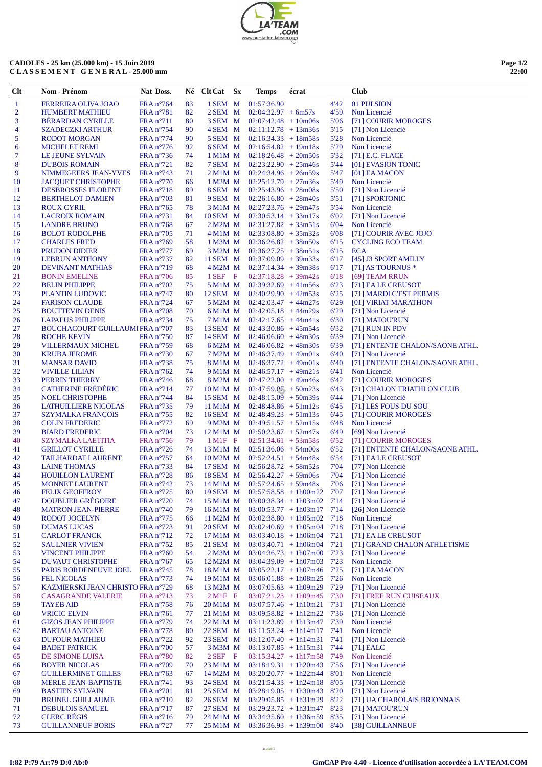| 'TEAM                     |
|---------------------------|
| .COM                      |
| www.prestation-lateam.com |

## **CADOLES - 25 km (25.000 km) - 15 Juin 2019 C L A S S E M E N T G E N E R A L - 25.000 mm**

| Page 1/2 |       |
|----------|-------|
|          | 22:00 |

| $\mathbf{1}$<br>FRA n°764<br>01:57:36.90<br>01 PULSION<br><b>FERREIRA OLIVA JOAO</b><br>83<br>1 SEM M<br>4'42<br>$\overline{2}$<br><b>HUMBERT MATHIEU</b><br>$FRA n^{\circ}781$<br>82<br>2 SEM M<br>$02:04:32.97 + 6m57s$<br>4'59<br>Non Licencié<br>3<br><b>BERARDAN CYRILLE</b><br>$FRA n^{\circ}711$<br>80<br>3 SEM M<br>$02:07:42.48 + 10m06s$<br>5'06<br>[71] COURIR MOROGES<br>4<br>FRA n°754<br>90<br>4 SEM M<br>$02:11:12.78 + 13m36s$<br>5'15<br>[71] Non Licencié<br><b>SZADECZKI ARTHUR</b><br>5<br>5'28<br>Non Licencié<br><b>RODOT MORGAN</b><br>$FRA n^{\circ}774$<br>90<br>5 SEM M<br>$02:16:34.33 + 18m58s$<br>6<br>FRA $n^{\circ}$ 776<br>92<br>6 SEM M<br>$02:16:54.82 + 19m18s$<br>5'29<br>Non Licencié<br><b>MICHELET REMI</b><br>7<br>LE JEUNE SYLVAIN<br>FRA $n^{\circ}$ 736<br>$02:18:26.48 + 20m50s$<br>5'32<br>$[71]$ E.C. FLACE<br>74<br>1 M <sub>1</sub> M M<br>8<br>82<br>7 SEM M 02:23:22.90 + 25m46s<br>5'44<br><b>DUBOIS ROMAIN</b><br>$FRA n^{\circ}721$<br>[01] EVASION TONIC<br>9<br>$02:24:34.96 + 26m59s$<br>5'47<br>NIMMEGEERS JEAN-YVES<br>FRA $n^{\circ}$ 743<br>71<br>$2$ M1M $\,$ M<br>$[01]$ EA MACON<br>10<br>$FRA n^{\circ}770$<br>1 M2M M<br>$02:25:12.79 + 27m36s$<br>5'49<br>Non Licencié<br><b>JACQUET CHRISTOPHE</b><br>66<br>11<br>89<br>$02:25:43.96 + 28m08s$<br>5'50<br><b>DESBROSSES FLORENT</b><br>$FRA n^{\circ}718$<br>8 SEM M<br>[71] Non Licencié<br>12<br>81<br>$9$ SEM M $02:26:16.80 + 28m40s$<br>5'51<br>[71] SPORTONIC<br><b>BERTHELOT DAMIEN</b><br>$FRA n^{\circ}703$<br>13<br>FRA n°765<br>78<br>$3$ M1M M $02:27:23.76 + 29m47s$<br>5'54<br>Non Licencié<br><b>ROUX CYRIL</b><br>14<br>10 SEM M 02:30:53.14 + 33m17s<br>6'02<br>[71] Non Licencié<br><b>LACROIX ROMAIN</b><br>$FRA n^{\circ}731$<br>84<br>15<br>Non Licencié<br>6'04<br><b>LANDRE BRUNO</b><br>$FRA n^{\circ}768$<br>67<br>2 M2M M<br>$02:31:27.82 + 33m51s$<br>16<br>FRA n°705<br>71<br>4 M1M M<br>$02:33:08.80 + 35m32s$<br>6'08<br>[71] COURIR AVEC JOJO<br><b>BOLOT RODOLPHE</b><br>17<br>58<br>6'15<br><b>CYCLING ECO TEAM</b><br><b>CHARLES FRED</b><br>$FRA n^{\circ}769$<br>1 M3M M<br>$02:36:26.82 + 38m50s$<br>18<br><b>ECA</b><br><b>PRUDON DIDIER</b><br>$FRA n^{\circ}777$<br>69<br>3 M2M M<br>$02:36:27.25 + 38m51s$<br>6'15<br>19<br>$FRA n^{\circ}737$<br>82<br>11 SEM $M = 02:37:09.09 + 39m33s$<br>6'17<br>[45] J3 SPORT AMILLY<br><b>LEBRUN ANTHONY</b><br>20<br><b>DEVINANT MATHIAS</b><br>$FRA n^{\circ}719$<br>68<br>4 M2M M<br>$02:37:14.34 + 39m38s$<br>6'17<br>[71] AS TOURNUS *<br>21<br>$1$ SEF F<br>6'18<br><b>BONIN EMELINE</b><br>$FRA n^{\circ}706$<br>85<br>$02:37:18.28 + 39m42s$<br>[69] TEAM RRUN<br>22<br>6'23<br><b>BELIN PHILIPPE</b><br>$FRA n^{\circ}702$<br>75<br>5 M1M M<br>$02:39:32.69 + 41m56s$<br>[71] EA LE CREUSOT<br>23<br>80<br>12 SEM M<br>6'25<br>[71] MARDI C'EST PERMIS<br>PLANTIN LUDOVIC<br>$FRA n^{\circ}747$<br>$02:40:29.90 + 42m53s$<br>24<br>6'29<br><b>FARISON CLAUDE</b><br>$FRA n^{\circ}724$<br>67<br>5 M2M M<br>$02:42:03.47 + 44m27s$<br>[01] VIRIAT MARATHON<br>25<br>70<br><b>BOUTTEVIN DENIS</b><br>$FRA n^{\circ}708$<br>6 M1M M<br>$02:42:05.18 + 44m29s$<br>6'29<br>[71] Non Licencié<br>26<br><b>LAPALUS PHILIPPE</b><br>FRA n°734<br>75<br>$02:42:17.65 + 44m41s$<br>6'30<br>[71] MATOU'RUN<br>7 M1M M<br>27<br>BOUCHACOURT GUILLAUMI FRA n°707<br>$02:43:30.86 + 45m54s$<br>6'32<br>$[71]$ RUN IN PDV<br>83<br>13 SEM M<br>28<br>87<br>14 SEM M<br>6'39<br>ROCHE KEVIN<br>$FRA n^{\circ}750$<br>$02:46:06.60 + 48m30s$<br>[71] Non Licencié<br>29<br>VILLERMAUX MICHEL<br>68<br>6'39<br>[71] ENTENTE CHALON/SAONE ATHL.<br>$FRA n^{\circ}759$<br>6 M2M M<br>$02:46:06.82 + 48m30s$<br>30<br><b>KRUBA JEROME</b><br>$FRA n^{\circ}730$<br>67<br>7 M2M M<br>$02:46:37.49 + 49m01s$<br>6'40<br>[71] Non Licencié<br>31<br>75<br><b>MANSAR DAVID</b><br>$FRA n^{\circ}738$<br>$8$ M1M M $02:46:37.72 + 49 \text{m01s}$<br>6'40<br>[71] ENTENTE CHALON/SAONE ATHL.<br>32<br>FRA $n^{\circ}$ 762<br>74<br>6'41<br>Non Licencié<br><b>VIVILLE LILIAN</b><br>$9$ M1M M $02:46:57.17 + 49$ m21s<br>33<br>PERRIN THIERRY<br>FRA $n^{\circ}$ 746<br>$8 M2M M 02:47:22.00 + 49m46s$<br>6'42<br>[71] COURIR MOROGES<br>68<br><b>CATHERINE FRÉDÉRIC</b><br>34<br>$FRA n^{\circ}714$<br>10 M1M M<br>$02:47:59.07 + 50m23s$<br>6'43<br>[71] CHALON TRIATHLON CLUB<br>77<br>35<br>NOEL CHRISTOPHE<br>84<br>15 SEM M<br>$02:48:15.09 + 50m39s$<br>6'44<br>[71] Non Licencié<br>$FRA n^{\circ}$ 744<br>36<br>79<br><b>LATHUILLIERE NICOLAS</b><br>$FRA n^{\circ}735$<br>11 M1M M<br>$02:48:48.86 + 51m12s$<br>6'45<br>[71] LES FOUS DU SOU<br>37<br><b>SZYMALKA FRANÇOIS</b><br>82<br>[71] COURIR MOROGES<br>$FRA n^{\circ}755$<br>16 SEM M<br>$02:48:49.23 + 51m13s$<br>6'45<br>38<br><b>COLIN FREDERIC</b><br>$FRA n^{\circ}772$<br>$9 M2M M 02:49:51.57 + 52m15s$<br>6'48<br>Non Licencié<br>69<br>39<br>FRA n°704<br>$02:50:23.67 + 52m47s$<br>6'49<br>[69] Non Licencié<br><b>BIARD FREDERIC</b><br>73<br>12 M1M M<br>40<br>$FRA n^{\circ}756$<br>79<br>$1 \text{ M1F}$ F<br>$02:51:34.61 + 53m58s$<br>6'52<br><b>SZYMALKA LAETITIA</b><br>[71] COURIR MOROGES<br>41<br>74<br>13 M1M M<br>[71] ENTENTE CHALON/SAONE ATHL.<br><b>GRILLOT CYRILLE</b><br>$FRA n^{\circ}726$<br>$02:51:36.06 + 54m00s$<br>6'52<br>42<br>64<br>6'54<br><b>TAILHARDAT LAURENT</b><br>$FRA n^{\circ}757$<br>10 M2M M<br>$02:52:24.51 + 54m48s$<br>[71] EA LE CREUSOT<br>43<br>84<br>$02:56:28.72 + 58m52s$<br>7'04<br>[77] Non Licencié<br><b>LAINE THOMAS</b><br>$FRA n^{\circ}733$<br>17 SEM M<br>44<br>FRA n°728<br>86<br>18 SEM M 02:56:42.27 + 59m06s<br>7'04<br>[71] Non Licencié<br><b>HOUILLON LAURENT</b><br>45<br>$FRA n^{\circ}742$<br>73<br>$14$ M1M M 02:57:24.65 + 59m48s<br>7'06<br>[71] Non Licencié<br><b>MONNET LAURENT</b><br>80<br>7'07<br>[71] Non Licencié<br>46<br><b>FELIX GEOFFROY</b><br>$FRA n^{\circ}725$<br>19 SEM $\ M$ 02:57:58.58 + 1h00m22<br>[71] Non Licencié<br>47<br><b>DOUBLIER GREGOIRE</b><br>$FRA n^{\circ}720$<br>$03:00:38.34 + 1h03m02$ 7'14<br>74<br>15 M1M M<br>[26] Non Licencié<br>48<br>FRA n°740<br>79<br>$03:00:53.77 + 1h03m17$ 7'14<br><b>MATRON JEAN-PIERRE</b><br>16 M1M M<br>49<br>Non Licencié<br><b>RODOT JOCELYN</b><br>$FRA n^{\circ}775$<br>66<br>11 M2M M<br>$03:02:38.80 + 1h05m02$ 7'18<br><b>DUMAS LUCAS</b><br>$FRA n^{\circ}723$<br>20 SEM M<br>$03:02:40.69 + 1h05m04$ 7'18<br>[71] Non Licencié<br>50<br>91<br>[71] EALE CREUSOT<br>51<br><b>CARLOT FRANCK</b><br>$FRA n^{\circ}712$<br>72<br>17 M1M M<br>$03:03:40.18 + 1h06m04$<br>7'21<br>52<br>$FRA n^{\circ}752$<br>21 SEM M<br>$03:03:40.71 + 1h06m04$ 7'21<br>[71] GRAND CHALON ATHLETISME<br><b>SAULNIER VIVIEN</b><br>85<br>53<br>$FRA n^{\circ}760$<br>2 M3M M<br>$03:04:36.73 + 1h07m00$<br>[71] Non Licencié<br><b>VINCENT PHILIPPE</b><br>54<br>7'23<br>54<br>Non Licencié<br>DUVAUT CHRISTOPHE<br>FRA $n^{\circ}$ 767<br>12 M2M M<br>$03:04:39.09 + 1h07m03$<br>7'23<br>65<br>55<br>$03:05:22.17 + 1h07m46$ 7'25<br>$[71]$ EA MACON<br>PARIS BORDENEUVE JOEL<br>$FRA n^{\circ}745$<br>78<br>18 M1M M<br><b>FEL NICOLAS</b><br>$FRA n^{\circ}773$<br>19 M1M M<br>$03:06:01.88 + 1h08m25$<br>7'26<br>Non Licencié<br>56<br>74<br>57<br>KAZMIERSKI JEAN CHRISTO FRA n°729<br>13 M2M M<br>$03:07:05.63 + 1h09m29$<br>7'29<br>[71] Non Licencié<br>68<br>58<br><b>CASAGRANDE VALERIE</b><br>$FRA n^{\circ}713$<br>$2$ M <sub>1</sub> F F<br>$03:07:21.23 + 1h09m45$ 7'30<br>[71] FREE RUN CUISEAUX<br>73<br>59<br>20 M1M M<br>$03:07:57.46 + 1h10m21$ 7'31<br>[71] Non Licencié<br><b>TAYEB AID</b><br>$FRA n^{\circ}758$<br>76<br>60<br><b>VRICIC ELVIN</b><br>FRA n°761<br>21 M1M M<br>$03:09:58.82 + 1h12m22$ 7'36<br>[71] Non Licencié<br>77<br>Non Licencié<br><b>GIZOS JEAN PHILIPPE</b><br>$FRA n^{\circ}779$<br>74<br>22 M1M M<br>$03:11:23.89 + 1h13m47$ 7'39<br>61<br>62<br>$FRA n^{\circ}778$<br>22 SEM M<br>$03:11:53.24 + 1h14m17$ 7'41<br>Non Licencié<br><b>BARTAU ANTOINE</b><br>80<br>63<br><b>DUFOUR MATHIEU</b><br>FRA n°722<br>92<br>23 SEM M<br>$03:12:07.40 + 1h14m31$ 7'41<br>[71] Non Licencié<br><b>BADET PATRICK</b><br>3 M3M M<br>$03:13:07.85 + 1h15m31$ 7'44<br>$[71]$ EALC<br>64<br>$FRA n^{\circ}700$<br>57<br>Non Licencié<br>65<br>DE SIMONE LUISA<br>FRA n°780<br>$2SEF$ F<br>$03:15:34.27 + 1h17m58$ 7'49<br>82<br>[71] Non Licencié<br><b>BOYER NICOLAS</b><br>FRA n°709<br>23 M1M M<br>$03:18:19.31 + 1h20m43$ 7'56<br>66<br>70<br>67<br>Non Licencié<br><b>GUILLERMINET GILLES</b><br>FRA $n^{\circ}$ 763<br>67<br>14 M2M M<br>$03:20:20.77 + 1h22m44$ 8'01<br>68<br>93<br>24 SEM M<br>$03:21:54.33 + 1h24m18$ 8'05<br>[73] Non Licencié<br><b>MERLE JEAN-BAPTISTE</b><br>$FRA n^{\circ}741$<br><b>BASTIEN SYLVAIN</b><br>FRA n°701<br>25 SEM M<br>$03:28:19.05 + 1h30m43$ 8'20<br>[71] Non Licencié<br>69<br>81<br>70<br><b>BRUNEL GUILLAUME</b><br>FRA n°710<br>82<br>26 SEM M<br>$03:29:05.85 + 1h31m29$<br>8'22<br>[71] UA CHAROLAIS BRIONNAIS<br>71<br><b>DEBULOIS SAMUEL</b><br>$FRA n^{\circ}717$<br>27 SEM M<br>$03:29:23.72 + 1h31m47$ 8'23<br>[71] MATOU'RUN<br>87<br><b>CLERC RÉGIS</b><br>72<br>$FRA n^{\circ}716$<br>79<br>24 M1M M<br>$03:34:35.60 + 1h36m59$ 8'35<br>[71] Non Licencié<br>73<br><b>GUILLANNEUF BORIS</b><br>77<br>$03:36:36.93 + 1h39m00$ 8'40<br>[38] GUILLANNEUF<br>$FRA n^{\circ}727$<br>25 M1M M | Clt | Nom - Prénom | Nat Doss. | Né Clt Cat Sx | Temps | écrat | <b>Club</b> |
|-------------------------------------------------------------------------------------------------------------------------------------------------------------------------------------------------------------------------------------------------------------------------------------------------------------------------------------------------------------------------------------------------------------------------------------------------------------------------------------------------------------------------------------------------------------------------------------------------------------------------------------------------------------------------------------------------------------------------------------------------------------------------------------------------------------------------------------------------------------------------------------------------------------------------------------------------------------------------------------------------------------------------------------------------------------------------------------------------------------------------------------------------------------------------------------------------------------------------------------------------------------------------------------------------------------------------------------------------------------------------------------------------------------------------------------------------------------------------------------------------------------------------------------------------------------------------------------------------------------------------------------------------------------------------------------------------------------------------------------------------------------------------------------------------------------------------------------------------------------------------------------------------------------------------------------------------------------------------------------------------------------------------------------------------------------------------------------------------------------------------------------------------------------------------------------------------------------------------------------------------------------------------------------------------------------------------------------------------------------------------------------------------------------------------------------------------------------------------------------------------------------------------------------------------------------------------------------------------------------------------------------------------------------------------------------------------------------------------------------------------------------------------------------------------------------------------------------------------------------------------------------------------------------------------------------------------------------------------------------------------------------------------------------------------------------------------------------------------------------------------------------------------------------------------------------------------------------------------------------------------------------------------------------------------------------------------------------------------------------------------------------------------------------------------------------------------------------------------------------------------------------------------------------------------------------------------------------------------------------------------------------------------------------------------------------------------------------------------------------------------------------------------------------------------------------------------------------------------------------------------------------------------------------------------------------------------------------------------------------------------------------------------------------------------------------------------------------------------------------------------------------------------------------------------------------------------------------------------------------------------------------------------------------------------------------------------------------------------------------------------------------------------------------------------------------------------------------------------------------------------------------------------------------------------------------------------------------------------------------------------------------------------------------------------------------------------------------------------------------------------------------------------------------------------------------------------------------------------------------------------------------------------------------------------------------------------------------------------------------------------------------------------------------------------------------------------------------------------------------------------------------------------------------------------------------------------------------------------------------------------------------------------------------------------------------------------------------------------------------------------------------------------------------------------------------------------------------------------------------------------------------------------------------------------------------------------------------------------------------------------------------------------------------------------------------------------------------------------------------------------------------------------------------------------------------------------------------------------------------------------------------------------------------------------------------------------------------------------------------------------------------------------------------------------------------------------------------------------------------------------------------------------------------------------------------------------------------------------------------------------------------------------------------------------------------------------------------------------------------------------------------------------------------------------------------------------------------------------------------------------------------------------------------------------------------------------------------------------------------------------------------------------------------------------------------------------------------------------------------------------------------------------------------------------------------------------------------------------------------------------------------------------------------------------------------------------------------------------------------------------------------------------------------------------------------------------------------------------------------------------------------------------------------------------------------------------------------------------------------------------------------------------------------------------------------------------------------------------------------------------------------------------------------------------------------------------------------------------------------------------------------------------------------------------------------------------------------------------------------------------------------------------------------------------------------------------------------------------------------------------------------------------------------------------------------------------------------------------------------------------------------------------------------------------------------------------------------------------------------------------------------------------------------------------------------------------------------------------------------------------------------------------------------------------------------------------------------------------------------------------------------------------------------------------------------------------------------------------------------------------------------------------------------------------------------------------------------------------------------------------------------------------------------------------------------------------------------------------------------------------------------------------------------------------------------------------------------------------------------------------------------------------------------------------------------------------------------------------------------------------------------------------------------------------------------------------------------------------------------------------------------------------------------------------------------------------------------------------------------------------------------------------------------------------------------------------------------------------------------------------------------------------------------------------------------------------------------------------------------------------------------|-----|--------------|-----------|---------------|-------|-------|-------------|
|                                                                                                                                                                                                                                                                                                                                                                                                                                                                                                                                                                                                                                                                                                                                                                                                                                                                                                                                                                                                                                                                                                                                                                                                                                                                                                                                                                                                                                                                                                                                                                                                                                                                                                                                                                                                                                                                                                                                                                                                                                                                                                                                                                                                                                                                                                                                                                                                                                                                                                                                                                                                                                                                                                                                                                                                                                                                                                                                                                                                                                                                                                                                                                                                                                                                                                                                                                                                                                                                                                                                                                                                                                                                                                                                                                                                                                                                                                                                                                                                                                                                                                                                                                                                                                                                                                                                                                                                                                                                                                                                                                                                                                                                                                                                                                                                                                                                                                                                                                                                                                                                                                                                                                                                                                                                                                                                                                                                                                                                                                                                                                                                                                                                                                                                                                                                                                                                                                                                                                                                                                                                                                                                                                                                                                                                                                                                                                                                                                                                                                                                                                                                                                                                                                                                                                                                                                                                                                                                                                                                                                                                                                                                                                                                                                                                                                                                                                                                                                                                                                                                                                                                                                                                                                                                                                                                                                                                                                                                                                                                                                                                                                                                                                                                                                                                                                                                                                                                                                                                                                                                                                                                                                                                                                                                                                                                                                                                                                                                                                                                                                                                                                                                                                                                                                                                                                                                                                                     |     |              |           |               |       |       |             |
|                                                                                                                                                                                                                                                                                                                                                                                                                                                                                                                                                                                                                                                                                                                                                                                                                                                                                                                                                                                                                                                                                                                                                                                                                                                                                                                                                                                                                                                                                                                                                                                                                                                                                                                                                                                                                                                                                                                                                                                                                                                                                                                                                                                                                                                                                                                                                                                                                                                                                                                                                                                                                                                                                                                                                                                                                                                                                                                                                                                                                                                                                                                                                                                                                                                                                                                                                                                                                                                                                                                                                                                                                                                                                                                                                                                                                                                                                                                                                                                                                                                                                                                                                                                                                                                                                                                                                                                                                                                                                                                                                                                                                                                                                                                                                                                                                                                                                                                                                                                                                                                                                                                                                                                                                                                                                                                                                                                                                                                                                                                                                                                                                                                                                                                                                                                                                                                                                                                                                                                                                                                                                                                                                                                                                                                                                                                                                                                                                                                                                                                                                                                                                                                                                                                                                                                                                                                                                                                                                                                                                                                                                                                                                                                                                                                                                                                                                                                                                                                                                                                                                                                                                                                                                                                                                                                                                                                                                                                                                                                                                                                                                                                                                                                                                                                                                                                                                                                                                                                                                                                                                                                                                                                                                                                                                                                                                                                                                                                                                                                                                                                                                                                                                                                                                                                                                                                                                                                     |     |              |           |               |       |       |             |
|                                                                                                                                                                                                                                                                                                                                                                                                                                                                                                                                                                                                                                                                                                                                                                                                                                                                                                                                                                                                                                                                                                                                                                                                                                                                                                                                                                                                                                                                                                                                                                                                                                                                                                                                                                                                                                                                                                                                                                                                                                                                                                                                                                                                                                                                                                                                                                                                                                                                                                                                                                                                                                                                                                                                                                                                                                                                                                                                                                                                                                                                                                                                                                                                                                                                                                                                                                                                                                                                                                                                                                                                                                                                                                                                                                                                                                                                                                                                                                                                                                                                                                                                                                                                                                                                                                                                                                                                                                                                                                                                                                                                                                                                                                                                                                                                                                                                                                                                                                                                                                                                                                                                                                                                                                                                                                                                                                                                                                                                                                                                                                                                                                                                                                                                                                                                                                                                                                                                                                                                                                                                                                                                                                                                                                                                                                                                                                                                                                                                                                                                                                                                                                                                                                                                                                                                                                                                                                                                                                                                                                                                                                                                                                                                                                                                                                                                                                                                                                                                                                                                                                                                                                                                                                                                                                                                                                                                                                                                                                                                                                                                                                                                                                                                                                                                                                                                                                                                                                                                                                                                                                                                                                                                                                                                                                                                                                                                                                                                                                                                                                                                                                                                                                                                                                                                                                                                                                                     |     |              |           |               |       |       |             |
|                                                                                                                                                                                                                                                                                                                                                                                                                                                                                                                                                                                                                                                                                                                                                                                                                                                                                                                                                                                                                                                                                                                                                                                                                                                                                                                                                                                                                                                                                                                                                                                                                                                                                                                                                                                                                                                                                                                                                                                                                                                                                                                                                                                                                                                                                                                                                                                                                                                                                                                                                                                                                                                                                                                                                                                                                                                                                                                                                                                                                                                                                                                                                                                                                                                                                                                                                                                                                                                                                                                                                                                                                                                                                                                                                                                                                                                                                                                                                                                                                                                                                                                                                                                                                                                                                                                                                                                                                                                                                                                                                                                                                                                                                                                                                                                                                                                                                                                                                                                                                                                                                                                                                                                                                                                                                                                                                                                                                                                                                                                                                                                                                                                                                                                                                                                                                                                                                                                                                                                                                                                                                                                                                                                                                                                                                                                                                                                                                                                                                                                                                                                                                                                                                                                                                                                                                                                                                                                                                                                                                                                                                                                                                                                                                                                                                                                                                                                                                                                                                                                                                                                                                                                                                                                                                                                                                                                                                                                                                                                                                                                                                                                                                                                                                                                                                                                                                                                                                                                                                                                                                                                                                                                                                                                                                                                                                                                                                                                                                                                                                                                                                                                                                                                                                                                                                                                                                                                     |     |              |           |               |       |       |             |
|                                                                                                                                                                                                                                                                                                                                                                                                                                                                                                                                                                                                                                                                                                                                                                                                                                                                                                                                                                                                                                                                                                                                                                                                                                                                                                                                                                                                                                                                                                                                                                                                                                                                                                                                                                                                                                                                                                                                                                                                                                                                                                                                                                                                                                                                                                                                                                                                                                                                                                                                                                                                                                                                                                                                                                                                                                                                                                                                                                                                                                                                                                                                                                                                                                                                                                                                                                                                                                                                                                                                                                                                                                                                                                                                                                                                                                                                                                                                                                                                                                                                                                                                                                                                                                                                                                                                                                                                                                                                                                                                                                                                                                                                                                                                                                                                                                                                                                                                                                                                                                                                                                                                                                                                                                                                                                                                                                                                                                                                                                                                                                                                                                                                                                                                                                                                                                                                                                                                                                                                                                                                                                                                                                                                                                                                                                                                                                                                                                                                                                                                                                                                                                                                                                                                                                                                                                                                                                                                                                                                                                                                                                                                                                                                                                                                                                                                                                                                                                                                                                                                                                                                                                                                                                                                                                                                                                                                                                                                                                                                                                                                                                                                                                                                                                                                                                                                                                                                                                                                                                                                                                                                                                                                                                                                                                                                                                                                                                                                                                                                                                                                                                                                                                                                                                                                                                                                                                                     |     |              |           |               |       |       |             |
|                                                                                                                                                                                                                                                                                                                                                                                                                                                                                                                                                                                                                                                                                                                                                                                                                                                                                                                                                                                                                                                                                                                                                                                                                                                                                                                                                                                                                                                                                                                                                                                                                                                                                                                                                                                                                                                                                                                                                                                                                                                                                                                                                                                                                                                                                                                                                                                                                                                                                                                                                                                                                                                                                                                                                                                                                                                                                                                                                                                                                                                                                                                                                                                                                                                                                                                                                                                                                                                                                                                                                                                                                                                                                                                                                                                                                                                                                                                                                                                                                                                                                                                                                                                                                                                                                                                                                                                                                                                                                                                                                                                                                                                                                                                                                                                                                                                                                                                                                                                                                                                                                                                                                                                                                                                                                                                                                                                                                                                                                                                                                                                                                                                                                                                                                                                                                                                                                                                                                                                                                                                                                                                                                                                                                                                                                                                                                                                                                                                                                                                                                                                                                                                                                                                                                                                                                                                                                                                                                                                                                                                                                                                                                                                                                                                                                                                                                                                                                                                                                                                                                                                                                                                                                                                                                                                                                                                                                                                                                                                                                                                                                                                                                                                                                                                                                                                                                                                                                                                                                                                                                                                                                                                                                                                                                                                                                                                                                                                                                                                                                                                                                                                                                                                                                                                                                                                                                                                     |     |              |           |               |       |       |             |
|                                                                                                                                                                                                                                                                                                                                                                                                                                                                                                                                                                                                                                                                                                                                                                                                                                                                                                                                                                                                                                                                                                                                                                                                                                                                                                                                                                                                                                                                                                                                                                                                                                                                                                                                                                                                                                                                                                                                                                                                                                                                                                                                                                                                                                                                                                                                                                                                                                                                                                                                                                                                                                                                                                                                                                                                                                                                                                                                                                                                                                                                                                                                                                                                                                                                                                                                                                                                                                                                                                                                                                                                                                                                                                                                                                                                                                                                                                                                                                                                                                                                                                                                                                                                                                                                                                                                                                                                                                                                                                                                                                                                                                                                                                                                                                                                                                                                                                                                                                                                                                                                                                                                                                                                                                                                                                                                                                                                                                                                                                                                                                                                                                                                                                                                                                                                                                                                                                                                                                                                                                                                                                                                                                                                                                                                                                                                                                                                                                                                                                                                                                                                                                                                                                                                                                                                                                                                                                                                                                                                                                                                                                                                                                                                                                                                                                                                                                                                                                                                                                                                                                                                                                                                                                                                                                                                                                                                                                                                                                                                                                                                                                                                                                                                                                                                                                                                                                                                                                                                                                                                                                                                                                                                                                                                                                                                                                                                                                                                                                                                                                                                                                                                                                                                                                                                                                                                                                                     |     |              |           |               |       |       |             |
|                                                                                                                                                                                                                                                                                                                                                                                                                                                                                                                                                                                                                                                                                                                                                                                                                                                                                                                                                                                                                                                                                                                                                                                                                                                                                                                                                                                                                                                                                                                                                                                                                                                                                                                                                                                                                                                                                                                                                                                                                                                                                                                                                                                                                                                                                                                                                                                                                                                                                                                                                                                                                                                                                                                                                                                                                                                                                                                                                                                                                                                                                                                                                                                                                                                                                                                                                                                                                                                                                                                                                                                                                                                                                                                                                                                                                                                                                                                                                                                                                                                                                                                                                                                                                                                                                                                                                                                                                                                                                                                                                                                                                                                                                                                                                                                                                                                                                                                                                                                                                                                                                                                                                                                                                                                                                                                                                                                                                                                                                                                                                                                                                                                                                                                                                                                                                                                                                                                                                                                                                                                                                                                                                                                                                                                                                                                                                                                                                                                                                                                                                                                                                                                                                                                                                                                                                                                                                                                                                                                                                                                                                                                                                                                                                                                                                                                                                                                                                                                                                                                                                                                                                                                                                                                                                                                                                                                                                                                                                                                                                                                                                                                                                                                                                                                                                                                                                                                                                                                                                                                                                                                                                                                                                                                                                                                                                                                                                                                                                                                                                                                                                                                                                                                                                                                                                                                                                                                     |     |              |           |               |       |       |             |
|                                                                                                                                                                                                                                                                                                                                                                                                                                                                                                                                                                                                                                                                                                                                                                                                                                                                                                                                                                                                                                                                                                                                                                                                                                                                                                                                                                                                                                                                                                                                                                                                                                                                                                                                                                                                                                                                                                                                                                                                                                                                                                                                                                                                                                                                                                                                                                                                                                                                                                                                                                                                                                                                                                                                                                                                                                                                                                                                                                                                                                                                                                                                                                                                                                                                                                                                                                                                                                                                                                                                                                                                                                                                                                                                                                                                                                                                                                                                                                                                                                                                                                                                                                                                                                                                                                                                                                                                                                                                                                                                                                                                                                                                                                                                                                                                                                                                                                                                                                                                                                                                                                                                                                                                                                                                                                                                                                                                                                                                                                                                                                                                                                                                                                                                                                                                                                                                                                                                                                                                                                                                                                                                                                                                                                                                                                                                                                                                                                                                                                                                                                                                                                                                                                                                                                                                                                                                                                                                                                                                                                                                                                                                                                                                                                                                                                                                                                                                                                                                                                                                                                                                                                                                                                                                                                                                                                                                                                                                                                                                                                                                                                                                                                                                                                                                                                                                                                                                                                                                                                                                                                                                                                                                                                                                                                                                                                                                                                                                                                                                                                                                                                                                                                                                                                                                                                                                                                                     |     |              |           |               |       |       |             |
|                                                                                                                                                                                                                                                                                                                                                                                                                                                                                                                                                                                                                                                                                                                                                                                                                                                                                                                                                                                                                                                                                                                                                                                                                                                                                                                                                                                                                                                                                                                                                                                                                                                                                                                                                                                                                                                                                                                                                                                                                                                                                                                                                                                                                                                                                                                                                                                                                                                                                                                                                                                                                                                                                                                                                                                                                                                                                                                                                                                                                                                                                                                                                                                                                                                                                                                                                                                                                                                                                                                                                                                                                                                                                                                                                                                                                                                                                                                                                                                                                                                                                                                                                                                                                                                                                                                                                                                                                                                                                                                                                                                                                                                                                                                                                                                                                                                                                                                                                                                                                                                                                                                                                                                                                                                                                                                                                                                                                                                                                                                                                                                                                                                                                                                                                                                                                                                                                                                                                                                                                                                                                                                                                                                                                                                                                                                                                                                                                                                                                                                                                                                                                                                                                                                                                                                                                                                                                                                                                                                                                                                                                                                                                                                                                                                                                                                                                                                                                                                                                                                                                                                                                                                                                                                                                                                                                                                                                                                                                                                                                                                                                                                                                                                                                                                                                                                                                                                                                                                                                                                                                                                                                                                                                                                                                                                                                                                                                                                                                                                                                                                                                                                                                                                                                                                                                                                                                                                     |     |              |           |               |       |       |             |
|                                                                                                                                                                                                                                                                                                                                                                                                                                                                                                                                                                                                                                                                                                                                                                                                                                                                                                                                                                                                                                                                                                                                                                                                                                                                                                                                                                                                                                                                                                                                                                                                                                                                                                                                                                                                                                                                                                                                                                                                                                                                                                                                                                                                                                                                                                                                                                                                                                                                                                                                                                                                                                                                                                                                                                                                                                                                                                                                                                                                                                                                                                                                                                                                                                                                                                                                                                                                                                                                                                                                                                                                                                                                                                                                                                                                                                                                                                                                                                                                                                                                                                                                                                                                                                                                                                                                                                                                                                                                                                                                                                                                                                                                                                                                                                                                                                                                                                                                                                                                                                                                                                                                                                                                                                                                                                                                                                                                                                                                                                                                                                                                                                                                                                                                                                                                                                                                                                                                                                                                                                                                                                                                                                                                                                                                                                                                                                                                                                                                                                                                                                                                                                                                                                                                                                                                                                                                                                                                                                                                                                                                                                                                                                                                                                                                                                                                                                                                                                                                                                                                                                                                                                                                                                                                                                                                                                                                                                                                                                                                                                                                                                                                                                                                                                                                                                                                                                                                                                                                                                                                                                                                                                                                                                                                                                                                                                                                                                                                                                                                                                                                                                                                                                                                                                                                                                                                                                                     |     |              |           |               |       |       |             |
|                                                                                                                                                                                                                                                                                                                                                                                                                                                                                                                                                                                                                                                                                                                                                                                                                                                                                                                                                                                                                                                                                                                                                                                                                                                                                                                                                                                                                                                                                                                                                                                                                                                                                                                                                                                                                                                                                                                                                                                                                                                                                                                                                                                                                                                                                                                                                                                                                                                                                                                                                                                                                                                                                                                                                                                                                                                                                                                                                                                                                                                                                                                                                                                                                                                                                                                                                                                                                                                                                                                                                                                                                                                                                                                                                                                                                                                                                                                                                                                                                                                                                                                                                                                                                                                                                                                                                                                                                                                                                                                                                                                                                                                                                                                                                                                                                                                                                                                                                                                                                                                                                                                                                                                                                                                                                                                                                                                                                                                                                                                                                                                                                                                                                                                                                                                                                                                                                                                                                                                                                                                                                                                                                                                                                                                                                                                                                                                                                                                                                                                                                                                                                                                                                                                                                                                                                                                                                                                                                                                                                                                                                                                                                                                                                                                                                                                                                                                                                                                                                                                                                                                                                                                                                                                                                                                                                                                                                                                                                                                                                                                                                                                                                                                                                                                                                                                                                                                                                                                                                                                                                                                                                                                                                                                                                                                                                                                                                                                                                                                                                                                                                                                                                                                                                                                                                                                                                                                     |     |              |           |               |       |       |             |
|                                                                                                                                                                                                                                                                                                                                                                                                                                                                                                                                                                                                                                                                                                                                                                                                                                                                                                                                                                                                                                                                                                                                                                                                                                                                                                                                                                                                                                                                                                                                                                                                                                                                                                                                                                                                                                                                                                                                                                                                                                                                                                                                                                                                                                                                                                                                                                                                                                                                                                                                                                                                                                                                                                                                                                                                                                                                                                                                                                                                                                                                                                                                                                                                                                                                                                                                                                                                                                                                                                                                                                                                                                                                                                                                                                                                                                                                                                                                                                                                                                                                                                                                                                                                                                                                                                                                                                                                                                                                                                                                                                                                                                                                                                                                                                                                                                                                                                                                                                                                                                                                                                                                                                                                                                                                                                                                                                                                                                                                                                                                                                                                                                                                                                                                                                                                                                                                                                                                                                                                                                                                                                                                                                                                                                                                                                                                                                                                                                                                                                                                                                                                                                                                                                                                                                                                                                                                                                                                                                                                                                                                                                                                                                                                                                                                                                                                                                                                                                                                                                                                                                                                                                                                                                                                                                                                                                                                                                                                                                                                                                                                                                                                                                                                                                                                                                                                                                                                                                                                                                                                                                                                                                                                                                                                                                                                                                                                                                                                                                                                                                                                                                                                                                                                                                                                                                                                                                                     |     |              |           |               |       |       |             |
|                                                                                                                                                                                                                                                                                                                                                                                                                                                                                                                                                                                                                                                                                                                                                                                                                                                                                                                                                                                                                                                                                                                                                                                                                                                                                                                                                                                                                                                                                                                                                                                                                                                                                                                                                                                                                                                                                                                                                                                                                                                                                                                                                                                                                                                                                                                                                                                                                                                                                                                                                                                                                                                                                                                                                                                                                                                                                                                                                                                                                                                                                                                                                                                                                                                                                                                                                                                                                                                                                                                                                                                                                                                                                                                                                                                                                                                                                                                                                                                                                                                                                                                                                                                                                                                                                                                                                                                                                                                                                                                                                                                                                                                                                                                                                                                                                                                                                                                                                                                                                                                                                                                                                                                                                                                                                                                                                                                                                                                                                                                                                                                                                                                                                                                                                                                                                                                                                                                                                                                                                                                                                                                                                                                                                                                                                                                                                                                                                                                                                                                                                                                                                                                                                                                                                                                                                                                                                                                                                                                                                                                                                                                                                                                                                                                                                                                                                                                                                                                                                                                                                                                                                                                                                                                                                                                                                                                                                                                                                                                                                                                                                                                                                                                                                                                                                                                                                                                                                                                                                                                                                                                                                                                                                                                                                                                                                                                                                                                                                                                                                                                                                                                                                                                                                                                                                                                                                                                     |     |              |           |               |       |       |             |
|                                                                                                                                                                                                                                                                                                                                                                                                                                                                                                                                                                                                                                                                                                                                                                                                                                                                                                                                                                                                                                                                                                                                                                                                                                                                                                                                                                                                                                                                                                                                                                                                                                                                                                                                                                                                                                                                                                                                                                                                                                                                                                                                                                                                                                                                                                                                                                                                                                                                                                                                                                                                                                                                                                                                                                                                                                                                                                                                                                                                                                                                                                                                                                                                                                                                                                                                                                                                                                                                                                                                                                                                                                                                                                                                                                                                                                                                                                                                                                                                                                                                                                                                                                                                                                                                                                                                                                                                                                                                                                                                                                                                                                                                                                                                                                                                                                                                                                                                                                                                                                                                                                                                                                                                                                                                                                                                                                                                                                                                                                                                                                                                                                                                                                                                                                                                                                                                                                                                                                                                                                                                                                                                                                                                                                                                                                                                                                                                                                                                                                                                                                                                                                                                                                                                                                                                                                                                                                                                                                                                                                                                                                                                                                                                                                                                                                                                                                                                                                                                                                                                                                                                                                                                                                                                                                                                                                                                                                                                                                                                                                                                                                                                                                                                                                                                                                                                                                                                                                                                                                                                                                                                                                                                                                                                                                                                                                                                                                                                                                                                                                                                                                                                                                                                                                                                                                                                                                                     |     |              |           |               |       |       |             |
|                                                                                                                                                                                                                                                                                                                                                                                                                                                                                                                                                                                                                                                                                                                                                                                                                                                                                                                                                                                                                                                                                                                                                                                                                                                                                                                                                                                                                                                                                                                                                                                                                                                                                                                                                                                                                                                                                                                                                                                                                                                                                                                                                                                                                                                                                                                                                                                                                                                                                                                                                                                                                                                                                                                                                                                                                                                                                                                                                                                                                                                                                                                                                                                                                                                                                                                                                                                                                                                                                                                                                                                                                                                                                                                                                                                                                                                                                                                                                                                                                                                                                                                                                                                                                                                                                                                                                                                                                                                                                                                                                                                                                                                                                                                                                                                                                                                                                                                                                                                                                                                                                                                                                                                                                                                                                                                                                                                                                                                                                                                                                                                                                                                                                                                                                                                                                                                                                                                                                                                                                                                                                                                                                                                                                                                                                                                                                                                                                                                                                                                                                                                                                                                                                                                                                                                                                                                                                                                                                                                                                                                                                                                                                                                                                                                                                                                                                                                                                                                                                                                                                                                                                                                                                                                                                                                                                                                                                                                                                                                                                                                                                                                                                                                                                                                                                                                                                                                                                                                                                                                                                                                                                                                                                                                                                                                                                                                                                                                                                                                                                                                                                                                                                                                                                                                                                                                                                                                     |     |              |           |               |       |       |             |
|                                                                                                                                                                                                                                                                                                                                                                                                                                                                                                                                                                                                                                                                                                                                                                                                                                                                                                                                                                                                                                                                                                                                                                                                                                                                                                                                                                                                                                                                                                                                                                                                                                                                                                                                                                                                                                                                                                                                                                                                                                                                                                                                                                                                                                                                                                                                                                                                                                                                                                                                                                                                                                                                                                                                                                                                                                                                                                                                                                                                                                                                                                                                                                                                                                                                                                                                                                                                                                                                                                                                                                                                                                                                                                                                                                                                                                                                                                                                                                                                                                                                                                                                                                                                                                                                                                                                                                                                                                                                                                                                                                                                                                                                                                                                                                                                                                                                                                                                                                                                                                                                                                                                                                                                                                                                                                                                                                                                                                                                                                                                                                                                                                                                                                                                                                                                                                                                                                                                                                                                                                                                                                                                                                                                                                                                                                                                                                                                                                                                                                                                                                                                                                                                                                                                                                                                                                                                                                                                                                                                                                                                                                                                                                                                                                                                                                                                                                                                                                                                                                                                                                                                                                                                                                                                                                                                                                                                                                                                                                                                                                                                                                                                                                                                                                                                                                                                                                                                                                                                                                                                                                                                                                                                                                                                                                                                                                                                                                                                                                                                                                                                                                                                                                                                                                                                                                                                                                                     |     |              |           |               |       |       |             |
|                                                                                                                                                                                                                                                                                                                                                                                                                                                                                                                                                                                                                                                                                                                                                                                                                                                                                                                                                                                                                                                                                                                                                                                                                                                                                                                                                                                                                                                                                                                                                                                                                                                                                                                                                                                                                                                                                                                                                                                                                                                                                                                                                                                                                                                                                                                                                                                                                                                                                                                                                                                                                                                                                                                                                                                                                                                                                                                                                                                                                                                                                                                                                                                                                                                                                                                                                                                                                                                                                                                                                                                                                                                                                                                                                                                                                                                                                                                                                                                                                                                                                                                                                                                                                                                                                                                                                                                                                                                                                                                                                                                                                                                                                                                                                                                                                                                                                                                                                                                                                                                                                                                                                                                                                                                                                                                                                                                                                                                                                                                                                                                                                                                                                                                                                                                                                                                                                                                                                                                                                                                                                                                                                                                                                                                                                                                                                                                                                                                                                                                                                                                                                                                                                                                                                                                                                                                                                                                                                                                                                                                                                                                                                                                                                                                                                                                                                                                                                                                                                                                                                                                                                                                                                                                                                                                                                                                                                                                                                                                                                                                                                                                                                                                                                                                                                                                                                                                                                                                                                                                                                                                                                                                                                                                                                                                                                                                                                                                                                                                                                                                                                                                                                                                                                                                                                                                                                                                     |     |              |           |               |       |       |             |
|                                                                                                                                                                                                                                                                                                                                                                                                                                                                                                                                                                                                                                                                                                                                                                                                                                                                                                                                                                                                                                                                                                                                                                                                                                                                                                                                                                                                                                                                                                                                                                                                                                                                                                                                                                                                                                                                                                                                                                                                                                                                                                                                                                                                                                                                                                                                                                                                                                                                                                                                                                                                                                                                                                                                                                                                                                                                                                                                                                                                                                                                                                                                                                                                                                                                                                                                                                                                                                                                                                                                                                                                                                                                                                                                                                                                                                                                                                                                                                                                                                                                                                                                                                                                                                                                                                                                                                                                                                                                                                                                                                                                                                                                                                                                                                                                                                                                                                                                                                                                                                                                                                                                                                                                                                                                                                                                                                                                                                                                                                                                                                                                                                                                                                                                                                                                                                                                                                                                                                                                                                                                                                                                                                                                                                                                                                                                                                                                                                                                                                                                                                                                                                                                                                                                                                                                                                                                                                                                                                                                                                                                                                                                                                                                                                                                                                                                                                                                                                                                                                                                                                                                                                                                                                                                                                                                                                                                                                                                                                                                                                                                                                                                                                                                                                                                                                                                                                                                                                                                                                                                                                                                                                                                                                                                                                                                                                                                                                                                                                                                                                                                                                                                                                                                                                                                                                                                                                                     |     |              |           |               |       |       |             |
|                                                                                                                                                                                                                                                                                                                                                                                                                                                                                                                                                                                                                                                                                                                                                                                                                                                                                                                                                                                                                                                                                                                                                                                                                                                                                                                                                                                                                                                                                                                                                                                                                                                                                                                                                                                                                                                                                                                                                                                                                                                                                                                                                                                                                                                                                                                                                                                                                                                                                                                                                                                                                                                                                                                                                                                                                                                                                                                                                                                                                                                                                                                                                                                                                                                                                                                                                                                                                                                                                                                                                                                                                                                                                                                                                                                                                                                                                                                                                                                                                                                                                                                                                                                                                                                                                                                                                                                                                                                                                                                                                                                                                                                                                                                                                                                                                                                                                                                                                                                                                                                                                                                                                                                                                                                                                                                                                                                                                                                                                                                                                                                                                                                                                                                                                                                                                                                                                                                                                                                                                                                                                                                                                                                                                                                                                                                                                                                                                                                                                                                                                                                                                                                                                                                                                                                                                                                                                                                                                                                                                                                                                                                                                                                                                                                                                                                                                                                                                                                                                                                                                                                                                                                                                                                                                                                                                                                                                                                                                                                                                                                                                                                                                                                                                                                                                                                                                                                                                                                                                                                                                                                                                                                                                                                                                                                                                                                                                                                                                                                                                                                                                                                                                                                                                                                                                                                                                                                     |     |              |           |               |       |       |             |
|                                                                                                                                                                                                                                                                                                                                                                                                                                                                                                                                                                                                                                                                                                                                                                                                                                                                                                                                                                                                                                                                                                                                                                                                                                                                                                                                                                                                                                                                                                                                                                                                                                                                                                                                                                                                                                                                                                                                                                                                                                                                                                                                                                                                                                                                                                                                                                                                                                                                                                                                                                                                                                                                                                                                                                                                                                                                                                                                                                                                                                                                                                                                                                                                                                                                                                                                                                                                                                                                                                                                                                                                                                                                                                                                                                                                                                                                                                                                                                                                                                                                                                                                                                                                                                                                                                                                                                                                                                                                                                                                                                                                                                                                                                                                                                                                                                                                                                                                                                                                                                                                                                                                                                                                                                                                                                                                                                                                                                                                                                                                                                                                                                                                                                                                                                                                                                                                                                                                                                                                                                                                                                                                                                                                                                                                                                                                                                                                                                                                                                                                                                                                                                                                                                                                                                                                                                                                                                                                                                                                                                                                                                                                                                                                                                                                                                                                                                                                                                                                                                                                                                                                                                                                                                                                                                                                                                                                                                                                                                                                                                                                                                                                                                                                                                                                                                                                                                                                                                                                                                                                                                                                                                                                                                                                                                                                                                                                                                                                                                                                                                                                                                                                                                                                                                                                                                                                                                                     |     |              |           |               |       |       |             |
|                                                                                                                                                                                                                                                                                                                                                                                                                                                                                                                                                                                                                                                                                                                                                                                                                                                                                                                                                                                                                                                                                                                                                                                                                                                                                                                                                                                                                                                                                                                                                                                                                                                                                                                                                                                                                                                                                                                                                                                                                                                                                                                                                                                                                                                                                                                                                                                                                                                                                                                                                                                                                                                                                                                                                                                                                                                                                                                                                                                                                                                                                                                                                                                                                                                                                                                                                                                                                                                                                                                                                                                                                                                                                                                                                                                                                                                                                                                                                                                                                                                                                                                                                                                                                                                                                                                                                                                                                                                                                                                                                                                                                                                                                                                                                                                                                                                                                                                                                                                                                                                                                                                                                                                                                                                                                                                                                                                                                                                                                                                                                                                                                                                                                                                                                                                                                                                                                                                                                                                                                                                                                                                                                                                                                                                                                                                                                                                                                                                                                                                                                                                                                                                                                                                                                                                                                                                                                                                                                                                                                                                                                                                                                                                                                                                                                                                                                                                                                                                                                                                                                                                                                                                                                                                                                                                                                                                                                                                                                                                                                                                                                                                                                                                                                                                                                                                                                                                                                                                                                                                                                                                                                                                                                                                                                                                                                                                                                                                                                                                                                                                                                                                                                                                                                                                                                                                                                                                     |     |              |           |               |       |       |             |
|                                                                                                                                                                                                                                                                                                                                                                                                                                                                                                                                                                                                                                                                                                                                                                                                                                                                                                                                                                                                                                                                                                                                                                                                                                                                                                                                                                                                                                                                                                                                                                                                                                                                                                                                                                                                                                                                                                                                                                                                                                                                                                                                                                                                                                                                                                                                                                                                                                                                                                                                                                                                                                                                                                                                                                                                                                                                                                                                                                                                                                                                                                                                                                                                                                                                                                                                                                                                                                                                                                                                                                                                                                                                                                                                                                                                                                                                                                                                                                                                                                                                                                                                                                                                                                                                                                                                                                                                                                                                                                                                                                                                                                                                                                                                                                                                                                                                                                                                                                                                                                                                                                                                                                                                                                                                                                                                                                                                                                                                                                                                                                                                                                                                                                                                                                                                                                                                                                                                                                                                                                                                                                                                                                                                                                                                                                                                                                                                                                                                                                                                                                                                                                                                                                                                                                                                                                                                                                                                                                                                                                                                                                                                                                                                                                                                                                                                                                                                                                                                                                                                                                                                                                                                                                                                                                                                                                                                                                                                                                                                                                                                                                                                                                                                                                                                                                                                                                                                                                                                                                                                                                                                                                                                                                                                                                                                                                                                                                                                                                                                                                                                                                                                                                                                                                                                                                                                                                                     |     |              |           |               |       |       |             |
|                                                                                                                                                                                                                                                                                                                                                                                                                                                                                                                                                                                                                                                                                                                                                                                                                                                                                                                                                                                                                                                                                                                                                                                                                                                                                                                                                                                                                                                                                                                                                                                                                                                                                                                                                                                                                                                                                                                                                                                                                                                                                                                                                                                                                                                                                                                                                                                                                                                                                                                                                                                                                                                                                                                                                                                                                                                                                                                                                                                                                                                                                                                                                                                                                                                                                                                                                                                                                                                                                                                                                                                                                                                                                                                                                                                                                                                                                                                                                                                                                                                                                                                                                                                                                                                                                                                                                                                                                                                                                                                                                                                                                                                                                                                                                                                                                                                                                                                                                                                                                                                                                                                                                                                                                                                                                                                                                                                                                                                                                                                                                                                                                                                                                                                                                                                                                                                                                                                                                                                                                                                                                                                                                                                                                                                                                                                                                                                                                                                                                                                                                                                                                                                                                                                                                                                                                                                                                                                                                                                                                                                                                                                                                                                                                                                                                                                                                                                                                                                                                                                                                                                                                                                                                                                                                                                                                                                                                                                                                                                                                                                                                                                                                                                                                                                                                                                                                                                                                                                                                                                                                                                                                                                                                                                                                                                                                                                                                                                                                                                                                                                                                                                                                                                                                                                                                                                                                                                     |     |              |           |               |       |       |             |
|                                                                                                                                                                                                                                                                                                                                                                                                                                                                                                                                                                                                                                                                                                                                                                                                                                                                                                                                                                                                                                                                                                                                                                                                                                                                                                                                                                                                                                                                                                                                                                                                                                                                                                                                                                                                                                                                                                                                                                                                                                                                                                                                                                                                                                                                                                                                                                                                                                                                                                                                                                                                                                                                                                                                                                                                                                                                                                                                                                                                                                                                                                                                                                                                                                                                                                                                                                                                                                                                                                                                                                                                                                                                                                                                                                                                                                                                                                                                                                                                                                                                                                                                                                                                                                                                                                                                                                                                                                                                                                                                                                                                                                                                                                                                                                                                                                                                                                                                                                                                                                                                                                                                                                                                                                                                                                                                                                                                                                                                                                                                                                                                                                                                                                                                                                                                                                                                                                                                                                                                                                                                                                                                                                                                                                                                                                                                                                                                                                                                                                                                                                                                                                                                                                                                                                                                                                                                                                                                                                                                                                                                                                                                                                                                                                                                                                                                                                                                                                                                                                                                                                                                                                                                                                                                                                                                                                                                                                                                                                                                                                                                                                                                                                                                                                                                                                                                                                                                                                                                                                                                                                                                                                                                                                                                                                                                                                                                                                                                                                                                                                                                                                                                                                                                                                                                                                                                                                                     |     |              |           |               |       |       |             |
|                                                                                                                                                                                                                                                                                                                                                                                                                                                                                                                                                                                                                                                                                                                                                                                                                                                                                                                                                                                                                                                                                                                                                                                                                                                                                                                                                                                                                                                                                                                                                                                                                                                                                                                                                                                                                                                                                                                                                                                                                                                                                                                                                                                                                                                                                                                                                                                                                                                                                                                                                                                                                                                                                                                                                                                                                                                                                                                                                                                                                                                                                                                                                                                                                                                                                                                                                                                                                                                                                                                                                                                                                                                                                                                                                                                                                                                                                                                                                                                                                                                                                                                                                                                                                                                                                                                                                                                                                                                                                                                                                                                                                                                                                                                                                                                                                                                                                                                                                                                                                                                                                                                                                                                                                                                                                                                                                                                                                                                                                                                                                                                                                                                                                                                                                                                                                                                                                                                                                                                                                                                                                                                                                                                                                                                                                                                                                                                                                                                                                                                                                                                                                                                                                                                                                                                                                                                                                                                                                                                                                                                                                                                                                                                                                                                                                                                                                                                                                                                                                                                                                                                                                                                                                                                                                                                                                                                                                                                                                                                                                                                                                                                                                                                                                                                                                                                                                                                                                                                                                                                                                                                                                                                                                                                                                                                                                                                                                                                                                                                                                                                                                                                                                                                                                                                                                                                                                                                     |     |              |           |               |       |       |             |
|                                                                                                                                                                                                                                                                                                                                                                                                                                                                                                                                                                                                                                                                                                                                                                                                                                                                                                                                                                                                                                                                                                                                                                                                                                                                                                                                                                                                                                                                                                                                                                                                                                                                                                                                                                                                                                                                                                                                                                                                                                                                                                                                                                                                                                                                                                                                                                                                                                                                                                                                                                                                                                                                                                                                                                                                                                                                                                                                                                                                                                                                                                                                                                                                                                                                                                                                                                                                                                                                                                                                                                                                                                                                                                                                                                                                                                                                                                                                                                                                                                                                                                                                                                                                                                                                                                                                                                                                                                                                                                                                                                                                                                                                                                                                                                                                                                                                                                                                                                                                                                                                                                                                                                                                                                                                                                                                                                                                                                                                                                                                                                                                                                                                                                                                                                                                                                                                                                                                                                                                                                                                                                                                                                                                                                                                                                                                                                                                                                                                                                                                                                                                                                                                                                                                                                                                                                                                                                                                                                                                                                                                                                                                                                                                                                                                                                                                                                                                                                                                                                                                                                                                                                                                                                                                                                                                                                                                                                                                                                                                                                                                                                                                                                                                                                                                                                                                                                                                                                                                                                                                                                                                                                                                                                                                                                                                                                                                                                                                                                                                                                                                                                                                                                                                                                                                                                                                                                                     |     |              |           |               |       |       |             |
|                                                                                                                                                                                                                                                                                                                                                                                                                                                                                                                                                                                                                                                                                                                                                                                                                                                                                                                                                                                                                                                                                                                                                                                                                                                                                                                                                                                                                                                                                                                                                                                                                                                                                                                                                                                                                                                                                                                                                                                                                                                                                                                                                                                                                                                                                                                                                                                                                                                                                                                                                                                                                                                                                                                                                                                                                                                                                                                                                                                                                                                                                                                                                                                                                                                                                                                                                                                                                                                                                                                                                                                                                                                                                                                                                                                                                                                                                                                                                                                                                                                                                                                                                                                                                                                                                                                                                                                                                                                                                                                                                                                                                                                                                                                                                                                                                                                                                                                                                                                                                                                                                                                                                                                                                                                                                                                                                                                                                                                                                                                                                                                                                                                                                                                                                                                                                                                                                                                                                                                                                                                                                                                                                                                                                                                                                                                                                                                                                                                                                                                                                                                                                                                                                                                                                                                                                                                                                                                                                                                                                                                                                                                                                                                                                                                                                                                                                                                                                                                                                                                                                                                                                                                                                                                                                                                                                                                                                                                                                                                                                                                                                                                                                                                                                                                                                                                                                                                                                                                                                                                                                                                                                                                                                                                                                                                                                                                                                                                                                                                                                                                                                                                                                                                                                                                                                                                                                                                     |     |              |           |               |       |       |             |
|                                                                                                                                                                                                                                                                                                                                                                                                                                                                                                                                                                                                                                                                                                                                                                                                                                                                                                                                                                                                                                                                                                                                                                                                                                                                                                                                                                                                                                                                                                                                                                                                                                                                                                                                                                                                                                                                                                                                                                                                                                                                                                                                                                                                                                                                                                                                                                                                                                                                                                                                                                                                                                                                                                                                                                                                                                                                                                                                                                                                                                                                                                                                                                                                                                                                                                                                                                                                                                                                                                                                                                                                                                                                                                                                                                                                                                                                                                                                                                                                                                                                                                                                                                                                                                                                                                                                                                                                                                                                                                                                                                                                                                                                                                                                                                                                                                                                                                                                                                                                                                                                                                                                                                                                                                                                                                                                                                                                                                                                                                                                                                                                                                                                                                                                                                                                                                                                                                                                                                                                                                                                                                                                                                                                                                                                                                                                                                                                                                                                                                                                                                                                                                                                                                                                                                                                                                                                                                                                                                                                                                                                                                                                                                                                                                                                                                                                                                                                                                                                                                                                                                                                                                                                                                                                                                                                                                                                                                                                                                                                                                                                                                                                                                                                                                                                                                                                                                                                                                                                                                                                                                                                                                                                                                                                                                                                                                                                                                                                                                                                                                                                                                                                                                                                                                                                                                                                                                                     |     |              |           |               |       |       |             |
|                                                                                                                                                                                                                                                                                                                                                                                                                                                                                                                                                                                                                                                                                                                                                                                                                                                                                                                                                                                                                                                                                                                                                                                                                                                                                                                                                                                                                                                                                                                                                                                                                                                                                                                                                                                                                                                                                                                                                                                                                                                                                                                                                                                                                                                                                                                                                                                                                                                                                                                                                                                                                                                                                                                                                                                                                                                                                                                                                                                                                                                                                                                                                                                                                                                                                                                                                                                                                                                                                                                                                                                                                                                                                                                                                                                                                                                                                                                                                                                                                                                                                                                                                                                                                                                                                                                                                                                                                                                                                                                                                                                                                                                                                                                                                                                                                                                                                                                                                                                                                                                                                                                                                                                                                                                                                                                                                                                                                                                                                                                                                                                                                                                                                                                                                                                                                                                                                                                                                                                                                                                                                                                                                                                                                                                                                                                                                                                                                                                                                                                                                                                                                                                                                                                                                                                                                                                                                                                                                                                                                                                                                                                                                                                                                                                                                                                                                                                                                                                                                                                                                                                                                                                                                                                                                                                                                                                                                                                                                                                                                                                                                                                                                                                                                                                                                                                                                                                                                                                                                                                                                                                                                                                                                                                                                                                                                                                                                                                                                                                                                                                                                                                                                                                                                                                                                                                                                                                     |     |              |           |               |       |       |             |
|                                                                                                                                                                                                                                                                                                                                                                                                                                                                                                                                                                                                                                                                                                                                                                                                                                                                                                                                                                                                                                                                                                                                                                                                                                                                                                                                                                                                                                                                                                                                                                                                                                                                                                                                                                                                                                                                                                                                                                                                                                                                                                                                                                                                                                                                                                                                                                                                                                                                                                                                                                                                                                                                                                                                                                                                                                                                                                                                                                                                                                                                                                                                                                                                                                                                                                                                                                                                                                                                                                                                                                                                                                                                                                                                                                                                                                                                                                                                                                                                                                                                                                                                                                                                                                                                                                                                                                                                                                                                                                                                                                                                                                                                                                                                                                                                                                                                                                                                                                                                                                                                                                                                                                                                                                                                                                                                                                                                                                                                                                                                                                                                                                                                                                                                                                                                                                                                                                                                                                                                                                                                                                                                                                                                                                                                                                                                                                                                                                                                                                                                                                                                                                                                                                                                                                                                                                                                                                                                                                                                                                                                                                                                                                                                                                                                                                                                                                                                                                                                                                                                                                                                                                                                                                                                                                                                                                                                                                                                                                                                                                                                                                                                                                                                                                                                                                                                                                                                                                                                                                                                                                                                                                                                                                                                                                                                                                                                                                                                                                                                                                                                                                                                                                                                                                                                                                                                                                                     |     |              |           |               |       |       |             |
|                                                                                                                                                                                                                                                                                                                                                                                                                                                                                                                                                                                                                                                                                                                                                                                                                                                                                                                                                                                                                                                                                                                                                                                                                                                                                                                                                                                                                                                                                                                                                                                                                                                                                                                                                                                                                                                                                                                                                                                                                                                                                                                                                                                                                                                                                                                                                                                                                                                                                                                                                                                                                                                                                                                                                                                                                                                                                                                                                                                                                                                                                                                                                                                                                                                                                                                                                                                                                                                                                                                                                                                                                                                                                                                                                                                                                                                                                                                                                                                                                                                                                                                                                                                                                                                                                                                                                                                                                                                                                                                                                                                                                                                                                                                                                                                                                                                                                                                                                                                                                                                                                                                                                                                                                                                                                                                                                                                                                                                                                                                                                                                                                                                                                                                                                                                                                                                                                                                                                                                                                                                                                                                                                                                                                                                                                                                                                                                                                                                                                                                                                                                                                                                                                                                                                                                                                                                                                                                                                                                                                                                                                                                                                                                                                                                                                                                                                                                                                                                                                                                                                                                                                                                                                                                                                                                                                                                                                                                                                                                                                                                                                                                                                                                                                                                                                                                                                                                                                                                                                                                                                                                                                                                                                                                                                                                                                                                                                                                                                                                                                                                                                                                                                                                                                                                                                                                                                                                     |     |              |           |               |       |       |             |
|                                                                                                                                                                                                                                                                                                                                                                                                                                                                                                                                                                                                                                                                                                                                                                                                                                                                                                                                                                                                                                                                                                                                                                                                                                                                                                                                                                                                                                                                                                                                                                                                                                                                                                                                                                                                                                                                                                                                                                                                                                                                                                                                                                                                                                                                                                                                                                                                                                                                                                                                                                                                                                                                                                                                                                                                                                                                                                                                                                                                                                                                                                                                                                                                                                                                                                                                                                                                                                                                                                                                                                                                                                                                                                                                                                                                                                                                                                                                                                                                                                                                                                                                                                                                                                                                                                                                                                                                                                                                                                                                                                                                                                                                                                                                                                                                                                                                                                                                                                                                                                                                                                                                                                                                                                                                                                                                                                                                                                                                                                                                                                                                                                                                                                                                                                                                                                                                                                                                                                                                                                                                                                                                                                                                                                                                                                                                                                                                                                                                                                                                                                                                                                                                                                                                                                                                                                                                                                                                                                                                                                                                                                                                                                                                                                                                                                                                                                                                                                                                                                                                                                                                                                                                                                                                                                                                                                                                                                                                                                                                                                                                                                                                                                                                                                                                                                                                                                                                                                                                                                                                                                                                                                                                                                                                                                                                                                                                                                                                                                                                                                                                                                                                                                                                                                                                                                                                                                                     |     |              |           |               |       |       |             |
|                                                                                                                                                                                                                                                                                                                                                                                                                                                                                                                                                                                                                                                                                                                                                                                                                                                                                                                                                                                                                                                                                                                                                                                                                                                                                                                                                                                                                                                                                                                                                                                                                                                                                                                                                                                                                                                                                                                                                                                                                                                                                                                                                                                                                                                                                                                                                                                                                                                                                                                                                                                                                                                                                                                                                                                                                                                                                                                                                                                                                                                                                                                                                                                                                                                                                                                                                                                                                                                                                                                                                                                                                                                                                                                                                                                                                                                                                                                                                                                                                                                                                                                                                                                                                                                                                                                                                                                                                                                                                                                                                                                                                                                                                                                                                                                                                                                                                                                                                                                                                                                                                                                                                                                                                                                                                                                                                                                                                                                                                                                                                                                                                                                                                                                                                                                                                                                                                                                                                                                                                                                                                                                                                                                                                                                                                                                                                                                                                                                                                                                                                                                                                                                                                                                                                                                                                                                                                                                                                                                                                                                                                                                                                                                                                                                                                                                                                                                                                                                                                                                                                                                                                                                                                                                                                                                                                                                                                                                                                                                                                                                                                                                                                                                                                                                                                                                                                                                                                                                                                                                                                                                                                                                                                                                                                                                                                                                                                                                                                                                                                                                                                                                                                                                                                                                                                                                                                                                     |     |              |           |               |       |       |             |
|                                                                                                                                                                                                                                                                                                                                                                                                                                                                                                                                                                                                                                                                                                                                                                                                                                                                                                                                                                                                                                                                                                                                                                                                                                                                                                                                                                                                                                                                                                                                                                                                                                                                                                                                                                                                                                                                                                                                                                                                                                                                                                                                                                                                                                                                                                                                                                                                                                                                                                                                                                                                                                                                                                                                                                                                                                                                                                                                                                                                                                                                                                                                                                                                                                                                                                                                                                                                                                                                                                                                                                                                                                                                                                                                                                                                                                                                                                                                                                                                                                                                                                                                                                                                                                                                                                                                                                                                                                                                                                                                                                                                                                                                                                                                                                                                                                                                                                                                                                                                                                                                                                                                                                                                                                                                                                                                                                                                                                                                                                                                                                                                                                                                                                                                                                                                                                                                                                                                                                                                                                                                                                                                                                                                                                                                                                                                                                                                                                                                                                                                                                                                                                                                                                                                                                                                                                                                                                                                                                                                                                                                                                                                                                                                                                                                                                                                                                                                                                                                                                                                                                                                                                                                                                                                                                                                                                                                                                                                                                                                                                                                                                                                                                                                                                                                                                                                                                                                                                                                                                                                                                                                                                                                                                                                                                                                                                                                                                                                                                                                                                                                                                                                                                                                                                                                                                                                                                                     |     |              |           |               |       |       |             |
|                                                                                                                                                                                                                                                                                                                                                                                                                                                                                                                                                                                                                                                                                                                                                                                                                                                                                                                                                                                                                                                                                                                                                                                                                                                                                                                                                                                                                                                                                                                                                                                                                                                                                                                                                                                                                                                                                                                                                                                                                                                                                                                                                                                                                                                                                                                                                                                                                                                                                                                                                                                                                                                                                                                                                                                                                                                                                                                                                                                                                                                                                                                                                                                                                                                                                                                                                                                                                                                                                                                                                                                                                                                                                                                                                                                                                                                                                                                                                                                                                                                                                                                                                                                                                                                                                                                                                                                                                                                                                                                                                                                                                                                                                                                                                                                                                                                                                                                                                                                                                                                                                                                                                                                                                                                                                                                                                                                                                                                                                                                                                                                                                                                                                                                                                                                                                                                                                                                                                                                                                                                                                                                                                                                                                                                                                                                                                                                                                                                                                                                                                                                                                                                                                                                                                                                                                                                                                                                                                                                                                                                                                                                                                                                                                                                                                                                                                                                                                                                                                                                                                                                                                                                                                                                                                                                                                                                                                                                                                                                                                                                                                                                                                                                                                                                                                                                                                                                                                                                                                                                                                                                                                                                                                                                                                                                                                                                                                                                                                                                                                                                                                                                                                                                                                                                                                                                                                                                     |     |              |           |               |       |       |             |
|                                                                                                                                                                                                                                                                                                                                                                                                                                                                                                                                                                                                                                                                                                                                                                                                                                                                                                                                                                                                                                                                                                                                                                                                                                                                                                                                                                                                                                                                                                                                                                                                                                                                                                                                                                                                                                                                                                                                                                                                                                                                                                                                                                                                                                                                                                                                                                                                                                                                                                                                                                                                                                                                                                                                                                                                                                                                                                                                                                                                                                                                                                                                                                                                                                                                                                                                                                                                                                                                                                                                                                                                                                                                                                                                                                                                                                                                                                                                                                                                                                                                                                                                                                                                                                                                                                                                                                                                                                                                                                                                                                                                                                                                                                                                                                                                                                                                                                                                                                                                                                                                                                                                                                                                                                                                                                                                                                                                                                                                                                                                                                                                                                                                                                                                                                                                                                                                                                                                                                                                                                                                                                                                                                                                                                                                                                                                                                                                                                                                                                                                                                                                                                                                                                                                                                                                                                                                                                                                                                                                                                                                                                                                                                                                                                                                                                                                                                                                                                                                                                                                                                                                                                                                                                                                                                                                                                                                                                                                                                                                                                                                                                                                                                                                                                                                                                                                                                                                                                                                                                                                                                                                                                                                                                                                                                                                                                                                                                                                                                                                                                                                                                                                                                                                                                                                                                                                                                                     |     |              |           |               |       |       |             |
|                                                                                                                                                                                                                                                                                                                                                                                                                                                                                                                                                                                                                                                                                                                                                                                                                                                                                                                                                                                                                                                                                                                                                                                                                                                                                                                                                                                                                                                                                                                                                                                                                                                                                                                                                                                                                                                                                                                                                                                                                                                                                                                                                                                                                                                                                                                                                                                                                                                                                                                                                                                                                                                                                                                                                                                                                                                                                                                                                                                                                                                                                                                                                                                                                                                                                                                                                                                                                                                                                                                                                                                                                                                                                                                                                                                                                                                                                                                                                                                                                                                                                                                                                                                                                                                                                                                                                                                                                                                                                                                                                                                                                                                                                                                                                                                                                                                                                                                                                                                                                                                                                                                                                                                                                                                                                                                                                                                                                                                                                                                                                                                                                                                                                                                                                                                                                                                                                                                                                                                                                                                                                                                                                                                                                                                                                                                                                                                                                                                                                                                                                                                                                                                                                                                                                                                                                                                                                                                                                                                                                                                                                                                                                                                                                                                                                                                                                                                                                                                                                                                                                                                                                                                                                                                                                                                                                                                                                                                                                                                                                                                                                                                                                                                                                                                                                                                                                                                                                                                                                                                                                                                                                                                                                                                                                                                                                                                                                                                                                                                                                                                                                                                                                                                                                                                                                                                                                                                     |     |              |           |               |       |       |             |
|                                                                                                                                                                                                                                                                                                                                                                                                                                                                                                                                                                                                                                                                                                                                                                                                                                                                                                                                                                                                                                                                                                                                                                                                                                                                                                                                                                                                                                                                                                                                                                                                                                                                                                                                                                                                                                                                                                                                                                                                                                                                                                                                                                                                                                                                                                                                                                                                                                                                                                                                                                                                                                                                                                                                                                                                                                                                                                                                                                                                                                                                                                                                                                                                                                                                                                                                                                                                                                                                                                                                                                                                                                                                                                                                                                                                                                                                                                                                                                                                                                                                                                                                                                                                                                                                                                                                                                                                                                                                                                                                                                                                                                                                                                                                                                                                                                                                                                                                                                                                                                                                                                                                                                                                                                                                                                                                                                                                                                                                                                                                                                                                                                                                                                                                                                                                                                                                                                                                                                                                                                                                                                                                                                                                                                                                                                                                                                                                                                                                                                                                                                                                                                                                                                                                                                                                                                                                                                                                                                                                                                                                                                                                                                                                                                                                                                                                                                                                                                                                                                                                                                                                                                                                                                                                                                                                                                                                                                                                                                                                                                                                                                                                                                                                                                                                                                                                                                                                                                                                                                                                                                                                                                                                                                                                                                                                                                                                                                                                                                                                                                                                                                                                                                                                                                                                                                                                                                                     |     |              |           |               |       |       |             |
|                                                                                                                                                                                                                                                                                                                                                                                                                                                                                                                                                                                                                                                                                                                                                                                                                                                                                                                                                                                                                                                                                                                                                                                                                                                                                                                                                                                                                                                                                                                                                                                                                                                                                                                                                                                                                                                                                                                                                                                                                                                                                                                                                                                                                                                                                                                                                                                                                                                                                                                                                                                                                                                                                                                                                                                                                                                                                                                                                                                                                                                                                                                                                                                                                                                                                                                                                                                                                                                                                                                                                                                                                                                                                                                                                                                                                                                                                                                                                                                                                                                                                                                                                                                                                                                                                                                                                                                                                                                                                                                                                                                                                                                                                                                                                                                                                                                                                                                                                                                                                                                                                                                                                                                                                                                                                                                                                                                                                                                                                                                                                                                                                                                                                                                                                                                                                                                                                                                                                                                                                                                                                                                                                                                                                                                                                                                                                                                                                                                                                                                                                                                                                                                                                                                                                                                                                                                                                                                                                                                                                                                                                                                                                                                                                                                                                                                                                                                                                                                                                                                                                                                                                                                                                                                                                                                                                                                                                                                                                                                                                                                                                                                                                                                                                                                                                                                                                                                                                                                                                                                                                                                                                                                                                                                                                                                                                                                                                                                                                                                                                                                                                                                                                                                                                                                                                                                                                                                     |     |              |           |               |       |       |             |
|                                                                                                                                                                                                                                                                                                                                                                                                                                                                                                                                                                                                                                                                                                                                                                                                                                                                                                                                                                                                                                                                                                                                                                                                                                                                                                                                                                                                                                                                                                                                                                                                                                                                                                                                                                                                                                                                                                                                                                                                                                                                                                                                                                                                                                                                                                                                                                                                                                                                                                                                                                                                                                                                                                                                                                                                                                                                                                                                                                                                                                                                                                                                                                                                                                                                                                                                                                                                                                                                                                                                                                                                                                                                                                                                                                                                                                                                                                                                                                                                                                                                                                                                                                                                                                                                                                                                                                                                                                                                                                                                                                                                                                                                                                                                                                                                                                                                                                                                                                                                                                                                                                                                                                                                                                                                                                                                                                                                                                                                                                                                                                                                                                                                                                                                                                                                                                                                                                                                                                                                                                                                                                                                                                                                                                                                                                                                                                                                                                                                                                                                                                                                                                                                                                                                                                                                                                                                                                                                                                                                                                                                                                                                                                                                                                                                                                                                                                                                                                                                                                                                                                                                                                                                                                                                                                                                                                                                                                                                                                                                                                                                                                                                                                                                                                                                                                                                                                                                                                                                                                                                                                                                                                                                                                                                                                                                                                                                                                                                                                                                                                                                                                                                                                                                                                                                                                                                                                                     |     |              |           |               |       |       |             |
|                                                                                                                                                                                                                                                                                                                                                                                                                                                                                                                                                                                                                                                                                                                                                                                                                                                                                                                                                                                                                                                                                                                                                                                                                                                                                                                                                                                                                                                                                                                                                                                                                                                                                                                                                                                                                                                                                                                                                                                                                                                                                                                                                                                                                                                                                                                                                                                                                                                                                                                                                                                                                                                                                                                                                                                                                                                                                                                                                                                                                                                                                                                                                                                                                                                                                                                                                                                                                                                                                                                                                                                                                                                                                                                                                                                                                                                                                                                                                                                                                                                                                                                                                                                                                                                                                                                                                                                                                                                                                                                                                                                                                                                                                                                                                                                                                                                                                                                                                                                                                                                                                                                                                                                                                                                                                                                                                                                                                                                                                                                                                                                                                                                                                                                                                                                                                                                                                                                                                                                                                                                                                                                                                                                                                                                                                                                                                                                                                                                                                                                                                                                                                                                                                                                                                                                                                                                                                                                                                                                                                                                                                                                                                                                                                                                                                                                                                                                                                                                                                                                                                                                                                                                                                                                                                                                                                                                                                                                                                                                                                                                                                                                                                                                                                                                                                                                                                                                                                                                                                                                                                                                                                                                                                                                                                                                                                                                                                                                                                                                                                                                                                                                                                                                                                                                                                                                                                                                     |     |              |           |               |       |       |             |
|                                                                                                                                                                                                                                                                                                                                                                                                                                                                                                                                                                                                                                                                                                                                                                                                                                                                                                                                                                                                                                                                                                                                                                                                                                                                                                                                                                                                                                                                                                                                                                                                                                                                                                                                                                                                                                                                                                                                                                                                                                                                                                                                                                                                                                                                                                                                                                                                                                                                                                                                                                                                                                                                                                                                                                                                                                                                                                                                                                                                                                                                                                                                                                                                                                                                                                                                                                                                                                                                                                                                                                                                                                                                                                                                                                                                                                                                                                                                                                                                                                                                                                                                                                                                                                                                                                                                                                                                                                                                                                                                                                                                                                                                                                                                                                                                                                                                                                                                                                                                                                                                                                                                                                                                                                                                                                                                                                                                                                                                                                                                                                                                                                                                                                                                                                                                                                                                                                                                                                                                                                                                                                                                                                                                                                                                                                                                                                                                                                                                                                                                                                                                                                                                                                                                                                                                                                                                                                                                                                                                                                                                                                                                                                                                                                                                                                                                                                                                                                                                                                                                                                                                                                                                                                                                                                                                                                                                                                                                                                                                                                                                                                                                                                                                                                                                                                                                                                                                                                                                                                                                                                                                                                                                                                                                                                                                                                                                                                                                                                                                                                                                                                                                                                                                                                                                                                                                                                                     |     |              |           |               |       |       |             |
|                                                                                                                                                                                                                                                                                                                                                                                                                                                                                                                                                                                                                                                                                                                                                                                                                                                                                                                                                                                                                                                                                                                                                                                                                                                                                                                                                                                                                                                                                                                                                                                                                                                                                                                                                                                                                                                                                                                                                                                                                                                                                                                                                                                                                                                                                                                                                                                                                                                                                                                                                                                                                                                                                                                                                                                                                                                                                                                                                                                                                                                                                                                                                                                                                                                                                                                                                                                                                                                                                                                                                                                                                                                                                                                                                                                                                                                                                                                                                                                                                                                                                                                                                                                                                                                                                                                                                                                                                                                                                                                                                                                                                                                                                                                                                                                                                                                                                                                                                                                                                                                                                                                                                                                                                                                                                                                                                                                                                                                                                                                                                                                                                                                                                                                                                                                                                                                                                                                                                                                                                                                                                                                                                                                                                                                                                                                                                                                                                                                                                                                                                                                                                                                                                                                                                                                                                                                                                                                                                                                                                                                                                                                                                                                                                                                                                                                                                                                                                                                                                                                                                                                                                                                                                                                                                                                                                                                                                                                                                                                                                                                                                                                                                                                                                                                                                                                                                                                                                                                                                                                                                                                                                                                                                                                                                                                                                                                                                                                                                                                                                                                                                                                                                                                                                                                                                                                                                                                     |     |              |           |               |       |       |             |
|                                                                                                                                                                                                                                                                                                                                                                                                                                                                                                                                                                                                                                                                                                                                                                                                                                                                                                                                                                                                                                                                                                                                                                                                                                                                                                                                                                                                                                                                                                                                                                                                                                                                                                                                                                                                                                                                                                                                                                                                                                                                                                                                                                                                                                                                                                                                                                                                                                                                                                                                                                                                                                                                                                                                                                                                                                                                                                                                                                                                                                                                                                                                                                                                                                                                                                                                                                                                                                                                                                                                                                                                                                                                                                                                                                                                                                                                                                                                                                                                                                                                                                                                                                                                                                                                                                                                                                                                                                                                                                                                                                                                                                                                                                                                                                                                                                                                                                                                                                                                                                                                                                                                                                                                                                                                                                                                                                                                                                                                                                                                                                                                                                                                                                                                                                                                                                                                                                                                                                                                                                                                                                                                                                                                                                                                                                                                                                                                                                                                                                                                                                                                                                                                                                                                                                                                                                                                                                                                                                                                                                                                                                                                                                                                                                                                                                                                                                                                                                                                                                                                                                                                                                                                                                                                                                                                                                                                                                                                                                                                                                                                                                                                                                                                                                                                                                                                                                                                                                                                                                                                                                                                                                                                                                                                                                                                                                                                                                                                                                                                                                                                                                                                                                                                                                                                                                                                                                                     |     |              |           |               |       |       |             |
|                                                                                                                                                                                                                                                                                                                                                                                                                                                                                                                                                                                                                                                                                                                                                                                                                                                                                                                                                                                                                                                                                                                                                                                                                                                                                                                                                                                                                                                                                                                                                                                                                                                                                                                                                                                                                                                                                                                                                                                                                                                                                                                                                                                                                                                                                                                                                                                                                                                                                                                                                                                                                                                                                                                                                                                                                                                                                                                                                                                                                                                                                                                                                                                                                                                                                                                                                                                                                                                                                                                                                                                                                                                                                                                                                                                                                                                                                                                                                                                                                                                                                                                                                                                                                                                                                                                                                                                                                                                                                                                                                                                                                                                                                                                                                                                                                                                                                                                                                                                                                                                                                                                                                                                                                                                                                                                                                                                                                                                                                                                                                                                                                                                                                                                                                                                                                                                                                                                                                                                                                                                                                                                                                                                                                                                                                                                                                                                                                                                                                                                                                                                                                                                                                                                                                                                                                                                                                                                                                                                                                                                                                                                                                                                                                                                                                                                                                                                                                                                                                                                                                                                                                                                                                                                                                                                                                                                                                                                                                                                                                                                                                                                                                                                                                                                                                                                                                                                                                                                                                                                                                                                                                                                                                                                                                                                                                                                                                                                                                                                                                                                                                                                                                                                                                                                                                                                                                                                     |     |              |           |               |       |       |             |
|                                                                                                                                                                                                                                                                                                                                                                                                                                                                                                                                                                                                                                                                                                                                                                                                                                                                                                                                                                                                                                                                                                                                                                                                                                                                                                                                                                                                                                                                                                                                                                                                                                                                                                                                                                                                                                                                                                                                                                                                                                                                                                                                                                                                                                                                                                                                                                                                                                                                                                                                                                                                                                                                                                                                                                                                                                                                                                                                                                                                                                                                                                                                                                                                                                                                                                                                                                                                                                                                                                                                                                                                                                                                                                                                                                                                                                                                                                                                                                                                                                                                                                                                                                                                                                                                                                                                                                                                                                                                                                                                                                                                                                                                                                                                                                                                                                                                                                                                                                                                                                                                                                                                                                                                                                                                                                                                                                                                                                                                                                                                                                                                                                                                                                                                                                                                                                                                                                                                                                                                                                                                                                                                                                                                                                                                                                                                                                                                                                                                                                                                                                                                                                                                                                                                                                                                                                                                                                                                                                                                                                                                                                                                                                                                                                                                                                                                                                                                                                                                                                                                                                                                                                                                                                                                                                                                                                                                                                                                                                                                                                                                                                                                                                                                                                                                                                                                                                                                                                                                                                                                                                                                                                                                                                                                                                                                                                                                                                                                                                                                                                                                                                                                                                                                                                                                                                                                                                                     |     |              |           |               |       |       |             |
|                                                                                                                                                                                                                                                                                                                                                                                                                                                                                                                                                                                                                                                                                                                                                                                                                                                                                                                                                                                                                                                                                                                                                                                                                                                                                                                                                                                                                                                                                                                                                                                                                                                                                                                                                                                                                                                                                                                                                                                                                                                                                                                                                                                                                                                                                                                                                                                                                                                                                                                                                                                                                                                                                                                                                                                                                                                                                                                                                                                                                                                                                                                                                                                                                                                                                                                                                                                                                                                                                                                                                                                                                                                                                                                                                                                                                                                                                                                                                                                                                                                                                                                                                                                                                                                                                                                                                                                                                                                                                                                                                                                                                                                                                                                                                                                                                                                                                                                                                                                                                                                                                                                                                                                                                                                                                                                                                                                                                                                                                                                                                                                                                                                                                                                                                                                                                                                                                                                                                                                                                                                                                                                                                                                                                                                                                                                                                                                                                                                                                                                                                                                                                                                                                                                                                                                                                                                                                                                                                                                                                                                                                                                                                                                                                                                                                                                                                                                                                                                                                                                                                                                                                                                                                                                                                                                                                                                                                                                                                                                                                                                                                                                                                                                                                                                                                                                                                                                                                                                                                                                                                                                                                                                                                                                                                                                                                                                                                                                                                                                                                                                                                                                                                                                                                                                                                                                                                                                     |     |              |           |               |       |       |             |
|                                                                                                                                                                                                                                                                                                                                                                                                                                                                                                                                                                                                                                                                                                                                                                                                                                                                                                                                                                                                                                                                                                                                                                                                                                                                                                                                                                                                                                                                                                                                                                                                                                                                                                                                                                                                                                                                                                                                                                                                                                                                                                                                                                                                                                                                                                                                                                                                                                                                                                                                                                                                                                                                                                                                                                                                                                                                                                                                                                                                                                                                                                                                                                                                                                                                                                                                                                                                                                                                                                                                                                                                                                                                                                                                                                                                                                                                                                                                                                                                                                                                                                                                                                                                                                                                                                                                                                                                                                                                                                                                                                                                                                                                                                                                                                                                                                                                                                                                                                                                                                                                                                                                                                                                                                                                                                                                                                                                                                                                                                                                                                                                                                                                                                                                                                                                                                                                                                                                                                                                                                                                                                                                                                                                                                                                                                                                                                                                                                                                                                                                                                                                                                                                                                                                                                                                                                                                                                                                                                                                                                                                                                                                                                                                                                                                                                                                                                                                                                                                                                                                                                                                                                                                                                                                                                                                                                                                                                                                                                                                                                                                                                                                                                                                                                                                                                                                                                                                                                                                                                                                                                                                                                                                                                                                                                                                                                                                                                                                                                                                                                                                                                                                                                                                                                                                                                                                                                                     |     |              |           |               |       |       |             |
|                                                                                                                                                                                                                                                                                                                                                                                                                                                                                                                                                                                                                                                                                                                                                                                                                                                                                                                                                                                                                                                                                                                                                                                                                                                                                                                                                                                                                                                                                                                                                                                                                                                                                                                                                                                                                                                                                                                                                                                                                                                                                                                                                                                                                                                                                                                                                                                                                                                                                                                                                                                                                                                                                                                                                                                                                                                                                                                                                                                                                                                                                                                                                                                                                                                                                                                                                                                                                                                                                                                                                                                                                                                                                                                                                                                                                                                                                                                                                                                                                                                                                                                                                                                                                                                                                                                                                                                                                                                                                                                                                                                                                                                                                                                                                                                                                                                                                                                                                                                                                                                                                                                                                                                                                                                                                                                                                                                                                                                                                                                                                                                                                                                                                                                                                                                                                                                                                                                                                                                                                                                                                                                                                                                                                                                                                                                                                                                                                                                                                                                                                                                                                                                                                                                                                                                                                                                                                                                                                                                                                                                                                                                                                                                                                                                                                                                                                                                                                                                                                                                                                                                                                                                                                                                                                                                                                                                                                                                                                                                                                                                                                                                                                                                                                                                                                                                                                                                                                                                                                                                                                                                                                                                                                                                                                                                                                                                                                                                                                                                                                                                                                                                                                                                                                                                                                                                                                                                     |     |              |           |               |       |       |             |
|                                                                                                                                                                                                                                                                                                                                                                                                                                                                                                                                                                                                                                                                                                                                                                                                                                                                                                                                                                                                                                                                                                                                                                                                                                                                                                                                                                                                                                                                                                                                                                                                                                                                                                                                                                                                                                                                                                                                                                                                                                                                                                                                                                                                                                                                                                                                                                                                                                                                                                                                                                                                                                                                                                                                                                                                                                                                                                                                                                                                                                                                                                                                                                                                                                                                                                                                                                                                                                                                                                                                                                                                                                                                                                                                                                                                                                                                                                                                                                                                                                                                                                                                                                                                                                                                                                                                                                                                                                                                                                                                                                                                                                                                                                                                                                                                                                                                                                                                                                                                                                                                                                                                                                                                                                                                                                                                                                                                                                                                                                                                                                                                                                                                                                                                                                                                                                                                                                                                                                                                                                                                                                                                                                                                                                                                                                                                                                                                                                                                                                                                                                                                                                                                                                                                                                                                                                                                                                                                                                                                                                                                                                                                                                                                                                                                                                                                                                                                                                                                                                                                                                                                                                                                                                                                                                                                                                                                                                                                                                                                                                                                                                                                                                                                                                                                                                                                                                                                                                                                                                                                                                                                                                                                                                                                                                                                                                                                                                                                                                                                                                                                                                                                                                                                                                                                                                                                                                                     |     |              |           |               |       |       |             |
|                                                                                                                                                                                                                                                                                                                                                                                                                                                                                                                                                                                                                                                                                                                                                                                                                                                                                                                                                                                                                                                                                                                                                                                                                                                                                                                                                                                                                                                                                                                                                                                                                                                                                                                                                                                                                                                                                                                                                                                                                                                                                                                                                                                                                                                                                                                                                                                                                                                                                                                                                                                                                                                                                                                                                                                                                                                                                                                                                                                                                                                                                                                                                                                                                                                                                                                                                                                                                                                                                                                                                                                                                                                                                                                                                                                                                                                                                                                                                                                                                                                                                                                                                                                                                                                                                                                                                                                                                                                                                                                                                                                                                                                                                                                                                                                                                                                                                                                                                                                                                                                                                                                                                                                                                                                                                                                                                                                                                                                                                                                                                                                                                                                                                                                                                                                                                                                                                                                                                                                                                                                                                                                                                                                                                                                                                                                                                                                                                                                                                                                                                                                                                                                                                                                                                                                                                                                                                                                                                                                                                                                                                                                                                                                                                                                                                                                                                                                                                                                                                                                                                                                                                                                                                                                                                                                                                                                                                                                                                                                                                                                                                                                                                                                                                                                                                                                                                                                                                                                                                                                                                                                                                                                                                                                                                                                                                                                                                                                                                                                                                                                                                                                                                                                                                                                                                                                                                                                     |     |              |           |               |       |       |             |
|                                                                                                                                                                                                                                                                                                                                                                                                                                                                                                                                                                                                                                                                                                                                                                                                                                                                                                                                                                                                                                                                                                                                                                                                                                                                                                                                                                                                                                                                                                                                                                                                                                                                                                                                                                                                                                                                                                                                                                                                                                                                                                                                                                                                                                                                                                                                                                                                                                                                                                                                                                                                                                                                                                                                                                                                                                                                                                                                                                                                                                                                                                                                                                                                                                                                                                                                                                                                                                                                                                                                                                                                                                                                                                                                                                                                                                                                                                                                                                                                                                                                                                                                                                                                                                                                                                                                                                                                                                                                                                                                                                                                                                                                                                                                                                                                                                                                                                                                                                                                                                                                                                                                                                                                                                                                                                                                                                                                                                                                                                                                                                                                                                                                                                                                                                                                                                                                                                                                                                                                                                                                                                                                                                                                                                                                                                                                                                                                                                                                                                                                                                                                                                                                                                                                                                                                                                                                                                                                                                                                                                                                                                                                                                                                                                                                                                                                                                                                                                                                                                                                                                                                                                                                                                                                                                                                                                                                                                                                                                                                                                                                                                                                                                                                                                                                                                                                                                                                                                                                                                                                                                                                                                                                                                                                                                                                                                                                                                                                                                                                                                                                                                                                                                                                                                                                                                                                                                                     |     |              |           |               |       |       |             |
|                                                                                                                                                                                                                                                                                                                                                                                                                                                                                                                                                                                                                                                                                                                                                                                                                                                                                                                                                                                                                                                                                                                                                                                                                                                                                                                                                                                                                                                                                                                                                                                                                                                                                                                                                                                                                                                                                                                                                                                                                                                                                                                                                                                                                                                                                                                                                                                                                                                                                                                                                                                                                                                                                                                                                                                                                                                                                                                                                                                                                                                                                                                                                                                                                                                                                                                                                                                                                                                                                                                                                                                                                                                                                                                                                                                                                                                                                                                                                                                                                                                                                                                                                                                                                                                                                                                                                                                                                                                                                                                                                                                                                                                                                                                                                                                                                                                                                                                                                                                                                                                                                                                                                                                                                                                                                                                                                                                                                                                                                                                                                                                                                                                                                                                                                                                                                                                                                                                                                                                                                                                                                                                                                                                                                                                                                                                                                                                                                                                                                                                                                                                                                                                                                                                                                                                                                                                                                                                                                                                                                                                                                                                                                                                                                                                                                                                                                                                                                                                                                                                                                                                                                                                                                                                                                                                                                                                                                                                                                                                                                                                                                                                                                                                                                                                                                                                                                                                                                                                                                                                                                                                                                                                                                                                                                                                                                                                                                                                                                                                                                                                                                                                                                                                                                                                                                                                                                                                     |     |              |           |               |       |       |             |
|                                                                                                                                                                                                                                                                                                                                                                                                                                                                                                                                                                                                                                                                                                                                                                                                                                                                                                                                                                                                                                                                                                                                                                                                                                                                                                                                                                                                                                                                                                                                                                                                                                                                                                                                                                                                                                                                                                                                                                                                                                                                                                                                                                                                                                                                                                                                                                                                                                                                                                                                                                                                                                                                                                                                                                                                                                                                                                                                                                                                                                                                                                                                                                                                                                                                                                                                                                                                                                                                                                                                                                                                                                                                                                                                                                                                                                                                                                                                                                                                                                                                                                                                                                                                                                                                                                                                                                                                                                                                                                                                                                                                                                                                                                                                                                                                                                                                                                                                                                                                                                                                                                                                                                                                                                                                                                                                                                                                                                                                                                                                                                                                                                                                                                                                                                                                                                                                                                                                                                                                                                                                                                                                                                                                                                                                                                                                                                                                                                                                                                                                                                                                                                                                                                                                                                                                                                                                                                                                                                                                                                                                                                                                                                                                                                                                                                                                                                                                                                                                                                                                                                                                                                                                                                                                                                                                                                                                                                                                                                                                                                                                                                                                                                                                                                                                                                                                                                                                                                                                                                                                                                                                                                                                                                                                                                                                                                                                                                                                                                                                                                                                                                                                                                                                                                                                                                                                                                                     |     |              |           |               |       |       |             |
|                                                                                                                                                                                                                                                                                                                                                                                                                                                                                                                                                                                                                                                                                                                                                                                                                                                                                                                                                                                                                                                                                                                                                                                                                                                                                                                                                                                                                                                                                                                                                                                                                                                                                                                                                                                                                                                                                                                                                                                                                                                                                                                                                                                                                                                                                                                                                                                                                                                                                                                                                                                                                                                                                                                                                                                                                                                                                                                                                                                                                                                                                                                                                                                                                                                                                                                                                                                                                                                                                                                                                                                                                                                                                                                                                                                                                                                                                                                                                                                                                                                                                                                                                                                                                                                                                                                                                                                                                                                                                                                                                                                                                                                                                                                                                                                                                                                                                                                                                                                                                                                                                                                                                                                                                                                                                                                                                                                                                                                                                                                                                                                                                                                                                                                                                                                                                                                                                                                                                                                                                                                                                                                                                                                                                                                                                                                                                                                                                                                                                                                                                                                                                                                                                                                                                                                                                                                                                                                                                                                                                                                                                                                                                                                                                                                                                                                                                                                                                                                                                                                                                                                                                                                                                                                                                                                                                                                                                                                                                                                                                                                                                                                                                                                                                                                                                                                                                                                                                                                                                                                                                                                                                                                                                                                                                                                                                                                                                                                                                                                                                                                                                                                                                                                                                                                                                                                                                                                     |     |              |           |               |       |       |             |
|                                                                                                                                                                                                                                                                                                                                                                                                                                                                                                                                                                                                                                                                                                                                                                                                                                                                                                                                                                                                                                                                                                                                                                                                                                                                                                                                                                                                                                                                                                                                                                                                                                                                                                                                                                                                                                                                                                                                                                                                                                                                                                                                                                                                                                                                                                                                                                                                                                                                                                                                                                                                                                                                                                                                                                                                                                                                                                                                                                                                                                                                                                                                                                                                                                                                                                                                                                                                                                                                                                                                                                                                                                                                                                                                                                                                                                                                                                                                                                                                                                                                                                                                                                                                                                                                                                                                                                                                                                                                                                                                                                                                                                                                                                                                                                                                                                                                                                                                                                                                                                                                                                                                                                                                                                                                                                                                                                                                                                                                                                                                                                                                                                                                                                                                                                                                                                                                                                                                                                                                                                                                                                                                                                                                                                                                                                                                                                                                                                                                                                                                                                                                                                                                                                                                                                                                                                                                                                                                                                                                                                                                                                                                                                                                                                                                                                                                                                                                                                                                                                                                                                                                                                                                                                                                                                                                                                                                                                                                                                                                                                                                                                                                                                                                                                                                                                                                                                                                                                                                                                                                                                                                                                                                                                                                                                                                                                                                                                                                                                                                                                                                                                                                                                                                                                                                                                                                                                                     |     |              |           |               |       |       |             |
|                                                                                                                                                                                                                                                                                                                                                                                                                                                                                                                                                                                                                                                                                                                                                                                                                                                                                                                                                                                                                                                                                                                                                                                                                                                                                                                                                                                                                                                                                                                                                                                                                                                                                                                                                                                                                                                                                                                                                                                                                                                                                                                                                                                                                                                                                                                                                                                                                                                                                                                                                                                                                                                                                                                                                                                                                                                                                                                                                                                                                                                                                                                                                                                                                                                                                                                                                                                                                                                                                                                                                                                                                                                                                                                                                                                                                                                                                                                                                                                                                                                                                                                                                                                                                                                                                                                                                                                                                                                                                                                                                                                                                                                                                                                                                                                                                                                                                                                                                                                                                                                                                                                                                                                                                                                                                                                                                                                                                                                                                                                                                                                                                                                                                                                                                                                                                                                                                                                                                                                                                                                                                                                                                                                                                                                                                                                                                                                                                                                                                                                                                                                                                                                                                                                                                                                                                                                                                                                                                                                                                                                                                                                                                                                                                                                                                                                                                                                                                                                                                                                                                                                                                                                                                                                                                                                                                                                                                                                                                                                                                                                                                                                                                                                                                                                                                                                                                                                                                                                                                                                                                                                                                                                                                                                                                                                                                                                                                                                                                                                                                                                                                                                                                                                                                                                                                                                                                                                     |     |              |           |               |       |       |             |
|                                                                                                                                                                                                                                                                                                                                                                                                                                                                                                                                                                                                                                                                                                                                                                                                                                                                                                                                                                                                                                                                                                                                                                                                                                                                                                                                                                                                                                                                                                                                                                                                                                                                                                                                                                                                                                                                                                                                                                                                                                                                                                                                                                                                                                                                                                                                                                                                                                                                                                                                                                                                                                                                                                                                                                                                                                                                                                                                                                                                                                                                                                                                                                                                                                                                                                                                                                                                                                                                                                                                                                                                                                                                                                                                                                                                                                                                                                                                                                                                                                                                                                                                                                                                                                                                                                                                                                                                                                                                                                                                                                                                                                                                                                                                                                                                                                                                                                                                                                                                                                                                                                                                                                                                                                                                                                                                                                                                                                                                                                                                                                                                                                                                                                                                                                                                                                                                                                                                                                                                                                                                                                                                                                                                                                                                                                                                                                                                                                                                                                                                                                                                                                                                                                                                                                                                                                                                                                                                                                                                                                                                                                                                                                                                                                                                                                                                                                                                                                                                                                                                                                                                                                                                                                                                                                                                                                                                                                                                                                                                                                                                                                                                                                                                                                                                                                                                                                                                                                                                                                                                                                                                                                                                                                                                                                                                                                                                                                                                                                                                                                                                                                                                                                                                                                                                                                                                                                                     |     |              |           |               |       |       |             |
|                                                                                                                                                                                                                                                                                                                                                                                                                                                                                                                                                                                                                                                                                                                                                                                                                                                                                                                                                                                                                                                                                                                                                                                                                                                                                                                                                                                                                                                                                                                                                                                                                                                                                                                                                                                                                                                                                                                                                                                                                                                                                                                                                                                                                                                                                                                                                                                                                                                                                                                                                                                                                                                                                                                                                                                                                                                                                                                                                                                                                                                                                                                                                                                                                                                                                                                                                                                                                                                                                                                                                                                                                                                                                                                                                                                                                                                                                                                                                                                                                                                                                                                                                                                                                                                                                                                                                                                                                                                                                                                                                                                                                                                                                                                                                                                                                                                                                                                                                                                                                                                                                                                                                                                                                                                                                                                                                                                                                                                                                                                                                                                                                                                                                                                                                                                                                                                                                                                                                                                                                                                                                                                                                                                                                                                                                                                                                                                                                                                                                                                                                                                                                                                                                                                                                                                                                                                                                                                                                                                                                                                                                                                                                                                                                                                                                                                                                                                                                                                                                                                                                                                                                                                                                                                                                                                                                                                                                                                                                                                                                                                                                                                                                                                                                                                                                                                                                                                                                                                                                                                                                                                                                                                                                                                                                                                                                                                                                                                                                                                                                                                                                                                                                                                                                                                                                                                                                                                     |     |              |           |               |       |       |             |
|                                                                                                                                                                                                                                                                                                                                                                                                                                                                                                                                                                                                                                                                                                                                                                                                                                                                                                                                                                                                                                                                                                                                                                                                                                                                                                                                                                                                                                                                                                                                                                                                                                                                                                                                                                                                                                                                                                                                                                                                                                                                                                                                                                                                                                                                                                                                                                                                                                                                                                                                                                                                                                                                                                                                                                                                                                                                                                                                                                                                                                                                                                                                                                                                                                                                                                                                                                                                                                                                                                                                                                                                                                                                                                                                                                                                                                                                                                                                                                                                                                                                                                                                                                                                                                                                                                                                                                                                                                                                                                                                                                                                                                                                                                                                                                                                                                                                                                                                                                                                                                                                                                                                                                                                                                                                                                                                                                                                                                                                                                                                                                                                                                                                                                                                                                                                                                                                                                                                                                                                                                                                                                                                                                                                                                                                                                                                                                                                                                                                                                                                                                                                                                                                                                                                                                                                                                                                                                                                                                                                                                                                                                                                                                                                                                                                                                                                                                                                                                                                                                                                                                                                                                                                                                                                                                                                                                                                                                                                                                                                                                                                                                                                                                                                                                                                                                                                                                                                                                                                                                                                                                                                                                                                                                                                                                                                                                                                                                                                                                                                                                                                                                                                                                                                                                                                                                                                                                                     |     |              |           |               |       |       |             |
|                                                                                                                                                                                                                                                                                                                                                                                                                                                                                                                                                                                                                                                                                                                                                                                                                                                                                                                                                                                                                                                                                                                                                                                                                                                                                                                                                                                                                                                                                                                                                                                                                                                                                                                                                                                                                                                                                                                                                                                                                                                                                                                                                                                                                                                                                                                                                                                                                                                                                                                                                                                                                                                                                                                                                                                                                                                                                                                                                                                                                                                                                                                                                                                                                                                                                                                                                                                                                                                                                                                                                                                                                                                                                                                                                                                                                                                                                                                                                                                                                                                                                                                                                                                                                                                                                                                                                                                                                                                                                                                                                                                                                                                                                                                                                                                                                                                                                                                                                                                                                                                                                                                                                                                                                                                                                                                                                                                                                                                                                                                                                                                                                                                                                                                                                                                                                                                                                                                                                                                                                                                                                                                                                                                                                                                                                                                                                                                                                                                                                                                                                                                                                                                                                                                                                                                                                                                                                                                                                                                                                                                                                                                                                                                                                                                                                                                                                                                                                                                                                                                                                                                                                                                                                                                                                                                                                                                                                                                                                                                                                                                                                                                                                                                                                                                                                                                                                                                                                                                                                                                                                                                                                                                                                                                                                                                                                                                                                                                                                                                                                                                                                                                                                                                                                                                                                                                                                                                     |     |              |           |               |       |       |             |
|                                                                                                                                                                                                                                                                                                                                                                                                                                                                                                                                                                                                                                                                                                                                                                                                                                                                                                                                                                                                                                                                                                                                                                                                                                                                                                                                                                                                                                                                                                                                                                                                                                                                                                                                                                                                                                                                                                                                                                                                                                                                                                                                                                                                                                                                                                                                                                                                                                                                                                                                                                                                                                                                                                                                                                                                                                                                                                                                                                                                                                                                                                                                                                                                                                                                                                                                                                                                                                                                                                                                                                                                                                                                                                                                                                                                                                                                                                                                                                                                                                                                                                                                                                                                                                                                                                                                                                                                                                                                                                                                                                                                                                                                                                                                                                                                                                                                                                                                                                                                                                                                                                                                                                                                                                                                                                                                                                                                                                                                                                                                                                                                                                                                                                                                                                                                                                                                                                                                                                                                                                                                                                                                                                                                                                                                                                                                                                                                                                                                                                                                                                                                                                                                                                                                                                                                                                                                                                                                                                                                                                                                                                                                                                                                                                                                                                                                                                                                                                                                                                                                                                                                                                                                                                                                                                                                                                                                                                                                                                                                                                                                                                                                                                                                                                                                                                                                                                                                                                                                                                                                                                                                                                                                                                                                                                                                                                                                                                                                                                                                                                                                                                                                                                                                                                                                                                                                                                                     |     |              |           |               |       |       |             |
|                                                                                                                                                                                                                                                                                                                                                                                                                                                                                                                                                                                                                                                                                                                                                                                                                                                                                                                                                                                                                                                                                                                                                                                                                                                                                                                                                                                                                                                                                                                                                                                                                                                                                                                                                                                                                                                                                                                                                                                                                                                                                                                                                                                                                                                                                                                                                                                                                                                                                                                                                                                                                                                                                                                                                                                                                                                                                                                                                                                                                                                                                                                                                                                                                                                                                                                                                                                                                                                                                                                                                                                                                                                                                                                                                                                                                                                                                                                                                                                                                                                                                                                                                                                                                                                                                                                                                                                                                                                                                                                                                                                                                                                                                                                                                                                                                                                                                                                                                                                                                                                                                                                                                                                                                                                                                                                                                                                                                                                                                                                                                                                                                                                                                                                                                                                                                                                                                                                                                                                                                                                                                                                                                                                                                                                                                                                                                                                                                                                                                                                                                                                                                                                                                                                                                                                                                                                                                                                                                                                                                                                                                                                                                                                                                                                                                                                                                                                                                                                                                                                                                                                                                                                                                                                                                                                                                                                                                                                                                                                                                                                                                                                                                                                                                                                                                                                                                                                                                                                                                                                                                                                                                                                                                                                                                                                                                                                                                                                                                                                                                                                                                                                                                                                                                                                                                                                                                                                     |     |              |           |               |       |       |             |
|                                                                                                                                                                                                                                                                                                                                                                                                                                                                                                                                                                                                                                                                                                                                                                                                                                                                                                                                                                                                                                                                                                                                                                                                                                                                                                                                                                                                                                                                                                                                                                                                                                                                                                                                                                                                                                                                                                                                                                                                                                                                                                                                                                                                                                                                                                                                                                                                                                                                                                                                                                                                                                                                                                                                                                                                                                                                                                                                                                                                                                                                                                                                                                                                                                                                                                                                                                                                                                                                                                                                                                                                                                                                                                                                                                                                                                                                                                                                                                                                                                                                                                                                                                                                                                                                                                                                                                                                                                                                                                                                                                                                                                                                                                                                                                                                                                                                                                                                                                                                                                                                                                                                                                                                                                                                                                                                                                                                                                                                                                                                                                                                                                                                                                                                                                                                                                                                                                                                                                                                                                                                                                                                                                                                                                                                                                                                                                                                                                                                                                                                                                                                                                                                                                                                                                                                                                                                                                                                                                                                                                                                                                                                                                                                                                                                                                                                                                                                                                                                                                                                                                                                                                                                                                                                                                                                                                                                                                                                                                                                                                                                                                                                                                                                                                                                                                                                                                                                                                                                                                                                                                                                                                                                                                                                                                                                                                                                                                                                                                                                                                                                                                                                                                                                                                                                                                                                                                                     |     |              |           |               |       |       |             |
|                                                                                                                                                                                                                                                                                                                                                                                                                                                                                                                                                                                                                                                                                                                                                                                                                                                                                                                                                                                                                                                                                                                                                                                                                                                                                                                                                                                                                                                                                                                                                                                                                                                                                                                                                                                                                                                                                                                                                                                                                                                                                                                                                                                                                                                                                                                                                                                                                                                                                                                                                                                                                                                                                                                                                                                                                                                                                                                                                                                                                                                                                                                                                                                                                                                                                                                                                                                                                                                                                                                                                                                                                                                                                                                                                                                                                                                                                                                                                                                                                                                                                                                                                                                                                                                                                                                                                                                                                                                                                                                                                                                                                                                                                                                                                                                                                                                                                                                                                                                                                                                                                                                                                                                                                                                                                                                                                                                                                                                                                                                                                                                                                                                                                                                                                                                                                                                                                                                                                                                                                                                                                                                                                                                                                                                                                                                                                                                                                                                                                                                                                                                                                                                                                                                                                                                                                                                                                                                                                                                                                                                                                                                                                                                                                                                                                                                                                                                                                                                                                                                                                                                                                                                                                                                                                                                                                                                                                                                                                                                                                                                                                                                                                                                                                                                                                                                                                                                                                                                                                                                                                                                                                                                                                                                                                                                                                                                                                                                                                                                                                                                                                                                                                                                                                                                                                                                                                                                     |     |              |           |               |       |       |             |
|                                                                                                                                                                                                                                                                                                                                                                                                                                                                                                                                                                                                                                                                                                                                                                                                                                                                                                                                                                                                                                                                                                                                                                                                                                                                                                                                                                                                                                                                                                                                                                                                                                                                                                                                                                                                                                                                                                                                                                                                                                                                                                                                                                                                                                                                                                                                                                                                                                                                                                                                                                                                                                                                                                                                                                                                                                                                                                                                                                                                                                                                                                                                                                                                                                                                                                                                                                                                                                                                                                                                                                                                                                                                                                                                                                                                                                                                                                                                                                                                                                                                                                                                                                                                                                                                                                                                                                                                                                                                                                                                                                                                                                                                                                                                                                                                                                                                                                                                                                                                                                                                                                                                                                                                                                                                                                                                                                                                                                                                                                                                                                                                                                                                                                                                                                                                                                                                                                                                                                                                                                                                                                                                                                                                                                                                                                                                                                                                                                                                                                                                                                                                                                                                                                                                                                                                                                                                                                                                                                                                                                                                                                                                                                                                                                                                                                                                                                                                                                                                                                                                                                                                                                                                                                                                                                                                                                                                                                                                                                                                                                                                                                                                                                                                                                                                                                                                                                                                                                                                                                                                                                                                                                                                                                                                                                                                                                                                                                                                                                                                                                                                                                                                                                                                                                                                                                                                                                                     |     |              |           |               |       |       |             |
|                                                                                                                                                                                                                                                                                                                                                                                                                                                                                                                                                                                                                                                                                                                                                                                                                                                                                                                                                                                                                                                                                                                                                                                                                                                                                                                                                                                                                                                                                                                                                                                                                                                                                                                                                                                                                                                                                                                                                                                                                                                                                                                                                                                                                                                                                                                                                                                                                                                                                                                                                                                                                                                                                                                                                                                                                                                                                                                                                                                                                                                                                                                                                                                                                                                                                                                                                                                                                                                                                                                                                                                                                                                                                                                                                                                                                                                                                                                                                                                                                                                                                                                                                                                                                                                                                                                                                                                                                                                                                                                                                                                                                                                                                                                                                                                                                                                                                                                                                                                                                                                                                                                                                                                                                                                                                                                                                                                                                                                                                                                                                                                                                                                                                                                                                                                                                                                                                                                                                                                                                                                                                                                                                                                                                                                                                                                                                                                                                                                                                                                                                                                                                                                                                                                                                                                                                                                                                                                                                                                                                                                                                                                                                                                                                                                                                                                                                                                                                                                                                                                                                                                                                                                                                                                                                                                                                                                                                                                                                                                                                                                                                                                                                                                                                                                                                                                                                                                                                                                                                                                                                                                                                                                                                                                                                                                                                                                                                                                                                                                                                                                                                                                                                                                                                                                                                                                                                                                     |     |              |           |               |       |       |             |
|                                                                                                                                                                                                                                                                                                                                                                                                                                                                                                                                                                                                                                                                                                                                                                                                                                                                                                                                                                                                                                                                                                                                                                                                                                                                                                                                                                                                                                                                                                                                                                                                                                                                                                                                                                                                                                                                                                                                                                                                                                                                                                                                                                                                                                                                                                                                                                                                                                                                                                                                                                                                                                                                                                                                                                                                                                                                                                                                                                                                                                                                                                                                                                                                                                                                                                                                                                                                                                                                                                                                                                                                                                                                                                                                                                                                                                                                                                                                                                                                                                                                                                                                                                                                                                                                                                                                                                                                                                                                                                                                                                                                                                                                                                                                                                                                                                                                                                                                                                                                                                                                                                                                                                                                                                                                                                                                                                                                                                                                                                                                                                                                                                                                                                                                                                                                                                                                                                                                                                                                                                                                                                                                                                                                                                                                                                                                                                                                                                                                                                                                                                                                                                                                                                                                                                                                                                                                                                                                                                                                                                                                                                                                                                                                                                                                                                                                                                                                                                                                                                                                                                                                                                                                                                                                                                                                                                                                                                                                                                                                                                                                                                                                                                                                                                                                                                                                                                                                                                                                                                                                                                                                                                                                                                                                                                                                                                                                                                                                                                                                                                                                                                                                                                                                                                                                                                                                                                                     |     |              |           |               |       |       |             |
|                                                                                                                                                                                                                                                                                                                                                                                                                                                                                                                                                                                                                                                                                                                                                                                                                                                                                                                                                                                                                                                                                                                                                                                                                                                                                                                                                                                                                                                                                                                                                                                                                                                                                                                                                                                                                                                                                                                                                                                                                                                                                                                                                                                                                                                                                                                                                                                                                                                                                                                                                                                                                                                                                                                                                                                                                                                                                                                                                                                                                                                                                                                                                                                                                                                                                                                                                                                                                                                                                                                                                                                                                                                                                                                                                                                                                                                                                                                                                                                                                                                                                                                                                                                                                                                                                                                                                                                                                                                                                                                                                                                                                                                                                                                                                                                                                                                                                                                                                                                                                                                                                                                                                                                                                                                                                                                                                                                                                                                                                                                                                                                                                                                                                                                                                                                                                                                                                                                                                                                                                                                                                                                                                                                                                                                                                                                                                                                                                                                                                                                                                                                                                                                                                                                                                                                                                                                                                                                                                                                                                                                                                                                                                                                                                                                                                                                                                                                                                                                                                                                                                                                                                                                                                                                                                                                                                                                                                                                                                                                                                                                                                                                                                                                                                                                                                                                                                                                                                                                                                                                                                                                                                                                                                                                                                                                                                                                                                                                                                                                                                                                                                                                                                                                                                                                                                                                                                                                     |     |              |           |               |       |       |             |
|                                                                                                                                                                                                                                                                                                                                                                                                                                                                                                                                                                                                                                                                                                                                                                                                                                                                                                                                                                                                                                                                                                                                                                                                                                                                                                                                                                                                                                                                                                                                                                                                                                                                                                                                                                                                                                                                                                                                                                                                                                                                                                                                                                                                                                                                                                                                                                                                                                                                                                                                                                                                                                                                                                                                                                                                                                                                                                                                                                                                                                                                                                                                                                                                                                                                                                                                                                                                                                                                                                                                                                                                                                                                                                                                                                                                                                                                                                                                                                                                                                                                                                                                                                                                                                                                                                                                                                                                                                                                                                                                                                                                                                                                                                                                                                                                                                                                                                                                                                                                                                                                                                                                                                                                                                                                                                                                                                                                                                                                                                                                                                                                                                                                                                                                                                                                                                                                                                                                                                                                                                                                                                                                                                                                                                                                                                                                                                                                                                                                                                                                                                                                                                                                                                                                                                                                                                                                                                                                                                                                                                                                                                                                                                                                                                                                                                                                                                                                                                                                                                                                                                                                                                                                                                                                                                                                                                                                                                                                                                                                                                                                                                                                                                                                                                                                                                                                                                                                                                                                                                                                                                                                                                                                                                                                                                                                                                                                                                                                                                                                                                                                                                                                                                                                                                                                                                                                                                                     |     |              |           |               |       |       |             |
|                                                                                                                                                                                                                                                                                                                                                                                                                                                                                                                                                                                                                                                                                                                                                                                                                                                                                                                                                                                                                                                                                                                                                                                                                                                                                                                                                                                                                                                                                                                                                                                                                                                                                                                                                                                                                                                                                                                                                                                                                                                                                                                                                                                                                                                                                                                                                                                                                                                                                                                                                                                                                                                                                                                                                                                                                                                                                                                                                                                                                                                                                                                                                                                                                                                                                                                                                                                                                                                                                                                                                                                                                                                                                                                                                                                                                                                                                                                                                                                                                                                                                                                                                                                                                                                                                                                                                                                                                                                                                                                                                                                                                                                                                                                                                                                                                                                                                                                                                                                                                                                                                                                                                                                                                                                                                                                                                                                                                                                                                                                                                                                                                                                                                                                                                                                                                                                                                                                                                                                                                                                                                                                                                                                                                                                                                                                                                                                                                                                                                                                                                                                                                                                                                                                                                                                                                                                                                                                                                                                                                                                                                                                                                                                                                                                                                                                                                                                                                                                                                                                                                                                                                                                                                                                                                                                                                                                                                                                                                                                                                                                                                                                                                                                                                                                                                                                                                                                                                                                                                                                                                                                                                                                                                                                                                                                                                                                                                                                                                                                                                                                                                                                                                                                                                                                                                                                                                                                     |     |              |           |               |       |       |             |
|                                                                                                                                                                                                                                                                                                                                                                                                                                                                                                                                                                                                                                                                                                                                                                                                                                                                                                                                                                                                                                                                                                                                                                                                                                                                                                                                                                                                                                                                                                                                                                                                                                                                                                                                                                                                                                                                                                                                                                                                                                                                                                                                                                                                                                                                                                                                                                                                                                                                                                                                                                                                                                                                                                                                                                                                                                                                                                                                                                                                                                                                                                                                                                                                                                                                                                                                                                                                                                                                                                                                                                                                                                                                                                                                                                                                                                                                                                                                                                                                                                                                                                                                                                                                                                                                                                                                                                                                                                                                                                                                                                                                                                                                                                                                                                                                                                                                                                                                                                                                                                                                                                                                                                                                                                                                                                                                                                                                                                                                                                                                                                                                                                                                                                                                                                                                                                                                                                                                                                                                                                                                                                                                                                                                                                                                                                                                                                                                                                                                                                                                                                                                                                                                                                                                                                                                                                                                                                                                                                                                                                                                                                                                                                                                                                                                                                                                                                                                                                                                                                                                                                                                                                                                                                                                                                                                                                                                                                                                                                                                                                                                                                                                                                                                                                                                                                                                                                                                                                                                                                                                                                                                                                                                                                                                                                                                                                                                                                                                                                                                                                                                                                                                                                                                                                                                                                                                                                                     |     |              |           |               |       |       |             |